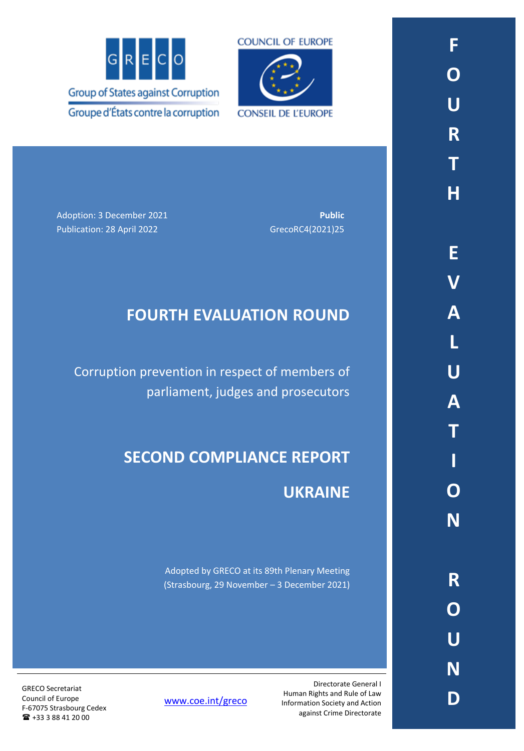



Adoption: 3 December 2021 **Public Public** 

Publication: 28 April 2022 GrecoRC4(2021)25

# **FOURTH EVALUATION ROUND**

Corruption prevention in respect of members of parliament, judges and prosecutors

# **SECOND COMPLIANCE REPORT**

# **UKRAINE**

Adopted by GRECO at its 89th Plenary Meeting (Strasbourg, 29 November – 3 December 2021)

GRECO Secretariat Council of Europe F-67075 Strasbourg Cedex +33 3 88 41 20 00

[www.coe.int/greco](http://www.coe.int/greco)

Directorate General I Human Rights and Rule of Law Information Society and Action against Crime Directorate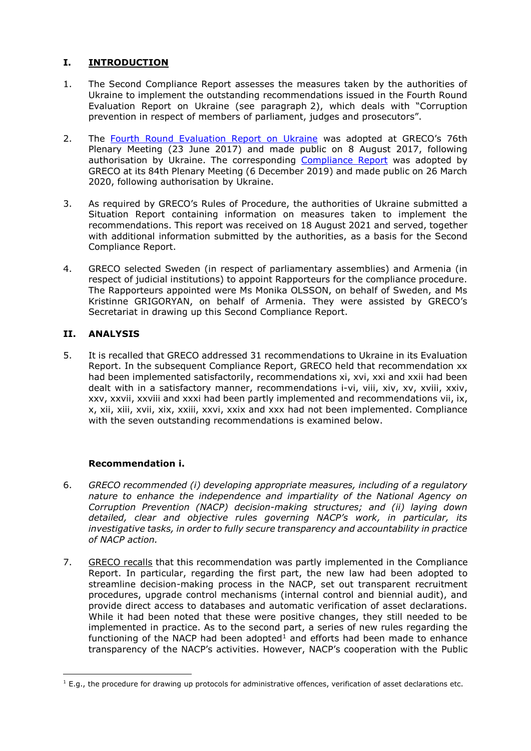# **I. INTRODUCTION**

- 1. The Second Compliance Report assesses the measures taken by the authorities of Ukraine to implement the outstanding recommendations issued in the Fourth Round Evaluation Report on Ukraine (see paragraph 2), which deals with "Corruption prevention in respect of members of parliament, judges and prosecutors".
- 2. The [Fourth Round Evaluation Report on Ukraine](https://rm.coe.int/grecoeval4rep-2016-9-fourth-evaluation-round-corruption-prevention-in-/1680737207) was adopted at GRECO's 76th Plenary Meeting (23 June 2017) and made public on 8 August 2017, following authorisation by Ukraine. The corresponding [Compliance Report](https://rm.coe.int/fourth-evaluation-round-corruption-prevention-in-respect-of-members-of/16809d768c) was adopted by GRECO at its 84th Plenary Meeting (6 December 2019) and made public on 26 March 2020, following authorisation by Ukraine.
- 3. As required by GRECO's Rules of Procedure, the authorities of Ukraine submitted a Situation Report containing information on measures taken to implement the recommendations. This report was received on 18 August 2021 and served, together with additional information submitted by the authorities, as a basis for the Second Compliance Report.
- 4. GRECO selected Sweden (in respect of parliamentary assemblies) and Armenia (in respect of judicial institutions) to appoint Rapporteurs for the compliance procedure. The Rapporteurs appointed were Ms Monika OLSSON, on behalf of Sweden, and Ms Kristinne GRIGORYAN, on behalf of Armenia. They were assisted by GRECO's Secretariat in drawing up this Second Compliance Report.

# **II. ANALYSIS**

5. It is recalled that GRECO addressed 31 recommendations to Ukraine in its Evaluation Report. In the subsequent Compliance Report, GRECO held that recommendation xx had been implemented satisfactorily, recommendations xi, xvi, xxi and xxii had been dealt with in a satisfactory manner, recommendations i-vi, viii, xiv, xv, xviii, xxiv, xxv, xxvii, xxviii and xxxi had been partly implemented and recommendations vii, ix, x, xii, xiii, xvii, xix, xxiii, xxvi, xxix and xxx had not been implemented. Compliance with the seven outstanding recommendations is examined below.

# **Recommendation i.**

- 6. *GRECO recommended (i) developing appropriate measures, including of a regulatory nature to enhance the independence and impartiality of the National Agency on Corruption Prevention (NACP) decision-making structures; and (ii) laying down detailed, clear and objective rules governing NACP's work, in particular, its investigative tasks, in order to fully secure transparency and accountability in practice of NACP action.*
- 7. GRECO recalls that this recommendation was partly implemented in the Compliance Report. In particular, regarding the first part, the new law had been adopted to streamline decision-making process in the NACP, set out transparent recruitment procedures, upgrade control mechanisms (internal control and biennial audit), and provide direct access to databases and automatic verification of asset declarations. While it had been noted that these were positive changes, they still needed to be implemented in practice. As to the second part, a series of new rules regarding the functioning of the NACP had been adopted $1$  and efforts had been made to enhance transparency of the NACP's activities. However, NACP's cooperation with the Public

 $\overline{a}$  $1$  E.g., the procedure for drawing up protocols for administrative offences, verification of asset declarations etc.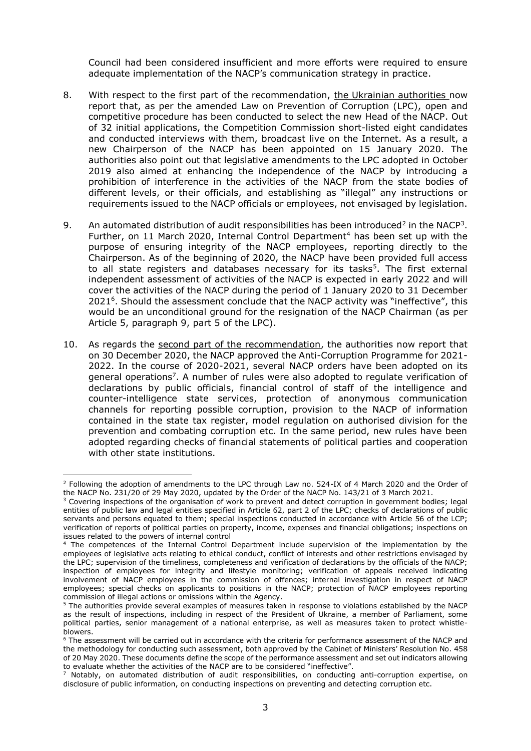Council had been considered insufficient and more efforts were required to ensure adequate implementation of the NACP's communication strategy in practice.

- 8. With respect to the first part of the recommendation, the Ukrainian authorities now report that, as per the amended Law on Prevention of Corruption (LPC), open and competitive procedure has been conducted to select the new Head of the NACP. Out of 32 initial applications, the Competition Commission short-listed eight candidates and conducted interviews with them, broadcast live on the Internet. As a result, a new Chairperson of the NACP has been appointed on 15 January 2020. The authorities also point out that legislative amendments to the LPC adopted in October 2019 also aimed at enhancing the independence of the NACP by introducing a prohibition of interference in the activities of the NACP from the state bodies of different levels, or their officials, and establishing as "illegal" any instructions or requirements issued to the NACP officials or employees, not envisaged by legislation.
- 9. An automated distribution of audit responsibilities has been introduced<sup>2</sup> in the NACP<sup>3</sup>. Further, on 11 March 2020, Internal Control Department<sup>4</sup> has been set up with the purpose of ensuring integrity of the NACP employees, reporting directly to the Chairperson. As of the beginning of 2020, the NACP have been provided full access to all state registers and databases necessary for its tasks<sup>5</sup>. The first external independent assessment of activities of the NACP is expected in early 2022 and will cover the activities of the NACP during the period of 1 January 2020 to 31 December 2021<sup>6</sup> . Should the assessment conclude that the NACP activity was "ineffective", this would be an unconditional ground for the resignation of the NACP Chairman (as per Article 5, paragraph 9, part 5 of the LPC).
- 10. As regards the second part of the recommendation, the authorities now report that on 30 December 2020, the NACP approved the Anti-Corruption Programme for 2021- 2022. In the course of 2020-2021, several NACP orders have been adopted on its general operations<sup>7</sup>. A number of rules were also adopted to regulate verification of declarations by public officials, financial control of staff of the intelligence and counter-intelligence state services, protection of anonymous communication channels for reporting possible corruption, provision to the NACP of information contained in the state tax register, model regulation on authorised division for the prevention and combating corruption etc. In the same period, new rules have been adopted regarding checks of financial statements of political parties and cooperation with other state institutions.

 $\overline{a}$  $^2$  Following the adoption of amendments to the LPC through Law no. 524-IX of 4 March 2020 and the Order of the NACP No. 231/20 of 29 May 2020, updated by the Order of the NACP No. 143/21 of 3 March 2021.

<sup>&</sup>lt;sup>3</sup> Covering inspections of the organisation of work to prevent and detect corruption in government bodies; legal entities of public law and legal entities specified in Article 62, part 2 of the LPC; checks of declarations of public servants and persons equated to them; special inspections conducted in accordance with Article 56 of the LCP; verification of reports of political parties on property, income, expenses and financial obligations; inspections on issues related to the powers of internal control

<sup>4</sup> The competences of the Internal Control Department include supervision of the implementation by the employees of legislative acts relating to ethical conduct, conflict of interests and other restrictions envisaged by the LPC; supervision of the timeliness, completeness and verification of declarations by the officials of the NACP; inspection of employees for integrity and lifestyle monitoring; verification of appeals received indicating involvement of NACP employees in the commission of offences; internal investigation in respect of NACP employees; special checks on applicants to positions in the NACP; protection of NACP employees reporting commission of illegal actions or omissions within the Agency.

<sup>5</sup> The authorities provide several examples of measures taken in response to violations established by the NACP as the result of inspections, including in respect of the President of Ukraine, a member of Parliament, some political parties, senior management of a national enterprise, as well as measures taken to protect whistleblowers.

<sup>6</sup> The assessment will be carried out in accordance with the criteria for performance assessment of the NACP and the methodology for conducting such assessment, both approved by the Cabinet of Ministers' Resolution No. 458 of 20 May 2020. These documents define the scope of the performance assessment and set out indicators allowing to evaluate whether the activities of the NACP are to be considered "ineffective".

Notably, on automated distribution of audit responsibilities, on conducting anti-corruption expertise, on disclosure of public information, on conducting inspections on preventing and detecting corruption etc.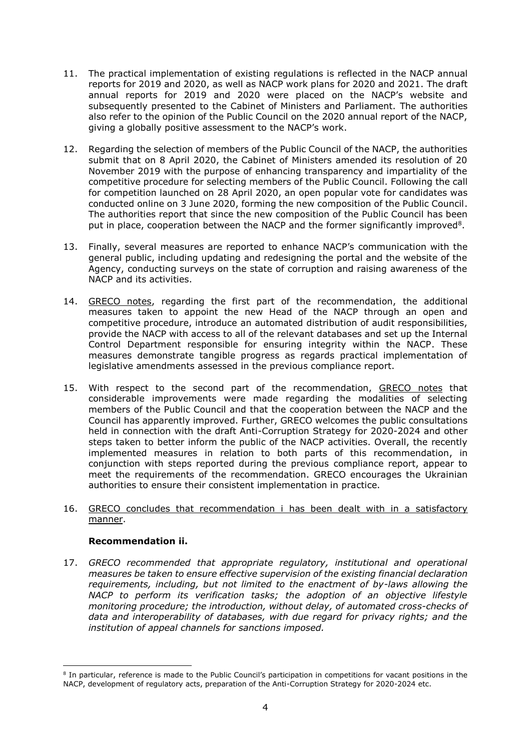- 11. The practical implementation of existing regulations is reflected in the NACP annual reports for 2019 and 2020, as well as NACP work plans for 2020 and 2021. The draft annual reports for 2019 and 2020 were placed on the NACP's website and subsequently presented to the Cabinet of Ministers and Parliament. The authorities also refer to the opinion of the Public Council on the 2020 annual report of the NACP, giving a globally positive assessment to the NACP's work.
- 12. Regarding the selection of members of the Public Council of the NACP, the authorities submit that on 8 April 2020, the Cabinet of Ministers amended its resolution of 20 November 2019 with the purpose of enhancing transparency and impartiality of the competitive procedure for selecting members of the Public Council. Following the call for competition launched on 28 April 2020, an open popular vote for candidates was conducted online on 3 June 2020, forming the new composition of the Public Council. The authorities report that since the new composition of the Public Council has been put in place, cooperation between the NACP and the former significantly improved<sup>8</sup>.
- 13. Finally, several measures are reported to enhance NACP's communication with the general public, including updating and redesigning the portal and the website of the Agency, conducting surveys on the state of corruption and raising awareness of the NACP and its activities.
- 14. GRECO notes, regarding the first part of the recommendation, the additional measures taken to appoint the new Head of the NACP through an open and competitive procedure, introduce an automated distribution of audit responsibilities, provide the NACP with access to all of the relevant databases and set up the Internal Control Department responsible for ensuring integrity within the NACP. These measures demonstrate tangible progress as regards practical implementation of legislative amendments assessed in the previous compliance report.
- 15. With respect to the second part of the recommendation, GRECO notes that considerable improvements were made regarding the modalities of selecting members of the Public Council and that the cooperation between the NACP and the Council has apparently improved. Further, GRECO welcomes the public consultations held in connection with the draft Anti-Corruption Strategy for 2020-2024 and other steps taken to better inform the public of the NACP activities. Overall, the recently implemented measures in relation to both parts of this recommendation, in conjunction with steps reported during the previous compliance report, appear to meet the requirements of the recommendation. GRECO encourages the Ukrainian authorities to ensure their consistent implementation in practice.
- 16. GRECO concludes that recommendation i has been dealt with in a satisfactory manner.

# **Recommendation ii.**

 $\overline{\phantom{a}}$ 

17. *GRECO recommended that appropriate regulatory, institutional and operational measures be taken to ensure effective supervision of the existing financial declaration requirements, including, but not limited to the enactment of by-laws allowing the NACP to perform its verification tasks; the adoption of an objective lifestyle monitoring procedure; the introduction, without delay, of automated cross-checks of data and interoperability of databases, with due regard for privacy rights; and the institution of appeal channels for sanctions imposed.*

<sup>8</sup> In particular, reference is made to the Public Council's participation in competitions for vacant positions in the NACP, development of regulatory acts, preparation of the Anti-Corruption Strategy for 2020-2024 etc.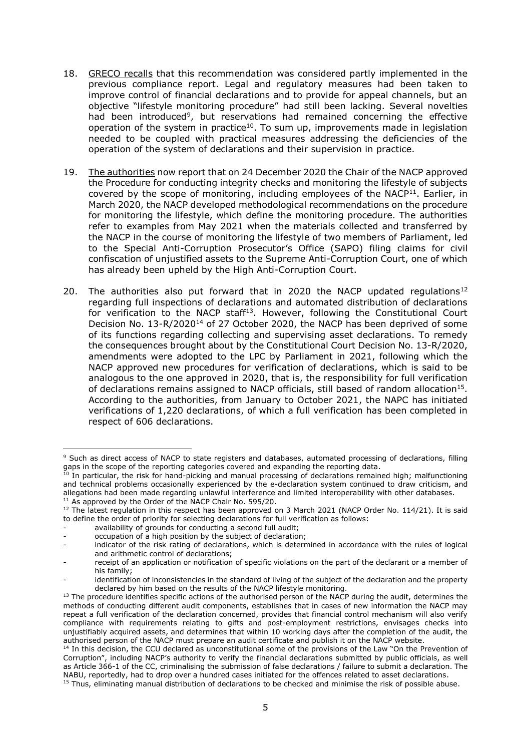- 18. GRECO recalls that this recommendation was considered partly implemented in the previous compliance report. Legal and regulatory measures had been taken to improve control of financial declarations and to provide for appeal channels, but an objective "lifestyle monitoring procedure" had still been lacking. Several novelties had been introduced<sup>9</sup>, but reservations had remained concerning the effective operation of the system in practice<sup>10</sup>. To sum up, improvements made in legislation needed to be coupled with practical measures addressing the deficiencies of the operation of the system of declarations and their supervision in practice.
- 19. The authorities now report that on 24 December 2020 the Chair of the NACP approved the Procedure for conducting integrity checks and monitoring the lifestyle of subjects covered by the scope of monitoring, including employees of the NACP<sup>11</sup>. Earlier, in March 2020, the NACP developed methodological recommendations on the procedure for monitoring the lifestyle, which define the monitoring procedure. The authorities refer to examples from May 2021 when the materials collected and transferred by the NACP in the course of monitoring the lifestyle of two members of Parliament, led to the Special Anti-Corruption Prosecutor's Office (SAPO) filing claims for civil confiscation of unjustified assets to the Supreme Anti-Corruption Court, one of which has already been upheld by the High Anti-Corruption Court.
- 20. The authorities also put forward that in 2020 the NACP updated regulations<sup>12</sup> regarding full inspections of declarations and automated distribution of declarations for verification to the NACP staff<sup>13</sup>. However, following the Constitutional Court Decision No. 13-R/2020<sup>14</sup> of 27 October 2020, the NACP has been deprived of some of its functions regarding collecting and supervising asset declarations. To remedy the consequences brought about by the Constitutional Court Decision No. 13-R/2020, amendments were adopted to the LPC by Parliament in 2021, following which the NACP approved new procedures for verification of declarations, which is said to be analogous to the one approved in 2020, that is, the responsibility for full verification of declarations remains assigned to NACP officials, still based of random allocation<sup>15</sup>. According to the authorities, from January to October 2021, the NAPC has initiated verifications of 1,220 declarations, of which a full verification has been completed in respect of 606 declarations.

 $\overline{a}$ <sup>9</sup> Such as direct access of NACP to state registers and databases, automated processing of declarations, filling gaps in the scope of the reporting categories covered and expanding the reporting data.

 $^{10}$  In particular, the risk for hand-picking and manual processing of declarations remained high; malfunctioning and technical problems occasionally experienced by the e-declaration system continued to draw criticism, and allegations had been made regarding unlawful interference and limited interoperability with other databases. <sup>11</sup> As approved by the Order of the NACP Chair No. 595/20.

<sup>&</sup>lt;sup>12</sup> The latest regulation in this respect has been approved on 3 March 2021 (NACP Order No. 114/21). It is said to define the order of priority for selecting declarations for full verification as follows:

availability of grounds for conducting a second full audit;

occupation of a high position by the subject of declaration;

indicator of the risk rating of declarations, which is determined in accordance with the rules of logical and arithmetic control of declarations;

receipt of an application or notification of specific violations on the part of the declarant or a member of his family;

identification of inconsistencies in the standard of living of the subject of the declaration and the property declared by him based on the results of the NACP lifestyle monitoring.

<sup>&</sup>lt;sup>13</sup> The procedure identifies specific actions of the authorised person of the NACP during the audit, determines the methods of conducting different audit components, establishes that in cases of new information the NACP may repeat a full verification of the declaration concerned, provides that financial control mechanism will also verify compliance with requirements relating to gifts and post-employment restrictions, envisages checks into unjustifiably acquired assets, and determines that within 10 working days after the completion of the audit, the authorised person of the NACP must prepare an audit certificate and publish it on the NACP website.

<sup>&</sup>lt;sup>14</sup> In this decision, the CCU declared as unconstitutional some of the provisions of the Law "On the Prevention of Corruption", including NACP's authority to verify the financial declarations submitted by public officials, as well as Article 366-1 of the CC, criminalising the submission of false declarations / failure to submit a declaration. The NABU, reportedly, had to drop over a hundred cases initiated for the offences related to asset declarations.

<sup>&</sup>lt;sup>15</sup> Thus, eliminating manual distribution of declarations to be checked and minimise the risk of possible abuse.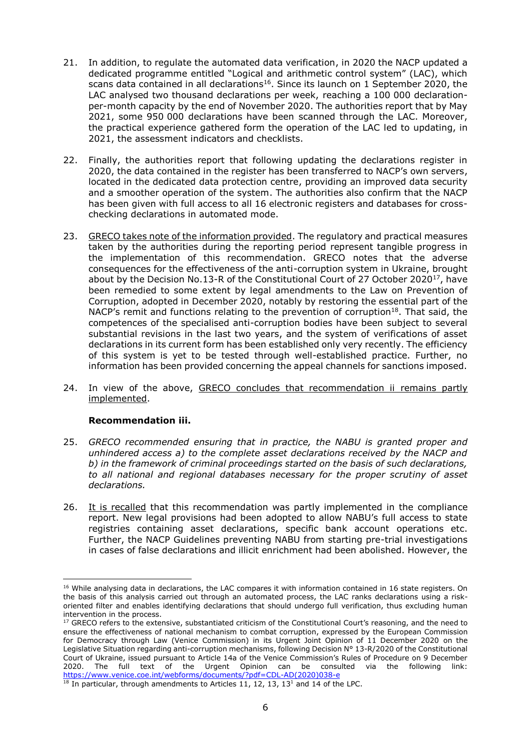- 21. In addition, to regulate the automated data verification, in 2020 the NACP updated a dedicated programme entitled "Logical and arithmetic control system" (LAC), which scans data contained in all declarations<sup>16</sup>. Since its launch on 1 September 2020, the LAC analysed two thousand declarations per week, reaching a 100 000 declarationper-month capacity by the end of November 2020. The authorities report that by May 2021, some 950 000 declarations have been scanned through the LAC. Moreover, the practical experience gathered form the operation of the LAC led to updating, in 2021, the assessment indicators and checklists.
- 22. Finally, the authorities report that following updating the declarations register in 2020, the data contained in the register has been transferred to NACP's own servers, located in the dedicated data protection centre, providing an improved data security and a smoother operation of the system. The authorities also confirm that the NACP has been given with full access to all 16 electronic registers and databases for crosschecking declarations in automated mode.
- 23. GRECO takes note of the information provided. The regulatory and practical measures taken by the authorities during the reporting period represent tangible progress in the implementation of this recommendation. GRECO notes that the adverse consequences for the effectiveness of the anti-corruption system in Ukraine, brought about by the Decision No.13-R of the Constitutional Court of 27 October 2020<sup>17</sup>, have been remedied to some extent by legal amendments to the Law on Prevention of Corruption, adopted in December 2020, notably by restoring the essential part of the NACP's remit and functions relating to the prevention of corruption<sup>18</sup>. That said, the competences of the specialised anti-corruption bodies have been subject to several substantial revisions in the last two years, and the system of verifications of asset declarations in its current form has been established only very recently. The efficiency of this system is yet to be tested through well-established practice. Further, no information has been provided concerning the appeal channels for sanctions imposed.
- 24. In view of the above, GRECO concludes that recommendation ii remains partly implemented.

#### **Recommendation iii.**

- 25. *GRECO recommended ensuring that in practice, the NABU is granted proper and unhindered access a) to the complete asset declarations received by the NACP and b) in the framework of criminal proceedings started on the basis of such declarations, to all national and regional databases necessary for the proper scrutiny of asset declarations.*
- 26. It is recalled that this recommendation was partly implemented in the compliance report. New legal provisions had been adopted to allow NABU's full access to state registries containing asset declarations, specific bank account operations etc. Further, the NACP Guidelines preventing NABU from starting pre-trial investigations in cases of false declarations and illicit enrichment had been abolished. However, the

 $\overline{a}$ <sup>16</sup> While analysing data in declarations, the LAC compares it with information contained in 16 state registers. On the basis of this analysis carried out through an automated process, the LAC ranks declarations using a riskoriented filter and enables identifying declarations that should undergo full verification, thus excluding human intervention in the process.

<sup>&</sup>lt;sup>17</sup> GRECO refers to the extensive, substantiated criticism of the Constitutional Court's reasoning, and the need to ensure the effectiveness of national mechanism to combat corruption, expressed by the European Commission for Democracy through Law (Venice Commission) in its Urgent Joint Opinion of 11 December 2020 on the Legislative Situation regarding anti-corruption mechanisms, following Decision N° 13-R/2020 of the Constitutional Court of Ukraine, issued pursuant to Article 14a of the Venice Commission's Rules of Procedure on 9 December 2020. The full text of the Urgent Opinion can be consulted via the following link: [https://www.venice.coe.int/webforms/documents/?pdf=CDL-AD\(2020\)038-e](https://www.venice.coe.int/webforms/documents/?pdf=CDL-AD(2020)038-e)

 $18$  In particular, through amendments to Articles 11, 12, 13, 13<sup>1</sup> and 14 of the LPC.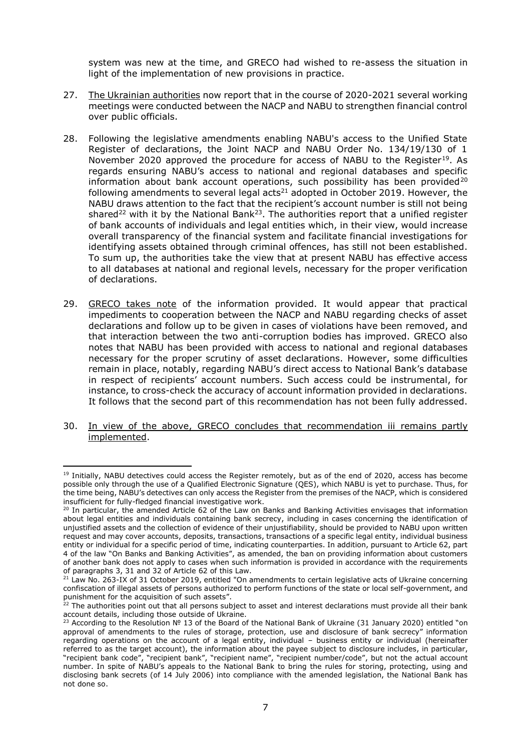system was new at the time, and GRECO had wished to re-assess the situation in light of the implementation of new provisions in practice.

- 27. The Ukrainian authorities now report that in the course of 2020-2021 several working meetings were conducted between the NACP and NABU to strengthen financial control over public officials.
- 28. Following the legislative amendments enabling NABU's access to the Unified State Register of declarations, the Joint NACP and NABU Order No. 134/19/130 of 1 November 2020 approved the procedure for access of NABU to the Register<sup>19</sup>. As regards ensuring NABU's access to national and regional databases and specific information about bank account operations, such possibility has been provided<sup>20</sup> following amendments to several legal acts $^{21}$  adopted in October 2019. However, the NABU draws attention to the fact that the recipient's account number is still not being shared<sup>22</sup> with it by the National Bank<sup>23</sup>. The authorities report that a unified register of bank accounts of individuals and legal entities which, in their view, would increase overall transparency of the financial system and facilitate financial investigations for identifying assets obtained through criminal offences, has still not been established. To sum up, the authorities take the view that at present NABU has effective access to all databases at national and regional levels, necessary for the proper verification of declarations.
- 29. GRECO takes note of the information provided. It would appear that practical impediments to cooperation between the NACP and NABU regarding checks of asset declarations and follow up to be given in cases of violations have been removed, and that interaction between the two anti-corruption bodies has improved. GRECO also notes that NABU has been provided with access to national and regional databases necessary for the proper scrutiny of asset declarations. However, some difficulties remain in place, notably, regarding NABU's direct access to National Bank's database in respect of recipients' account numbers. Such access could be instrumental, for instance, to cross-check the accuracy of account information provided in declarations. It follows that the second part of this recommendation has not been fully addressed.
- 30. In view of the above, GRECO concludes that recommendation iii remains partly implemented.

 $\overline{a}$ 

<sup>&</sup>lt;sup>19</sup> Initially, NABU detectives could access the Register remotely, but as of the end of 2020, access has become possible only through the use of a Qualified Electronic Signature (QES), which NABU is yet to purchase. Thus, for the time being, NABU's detectives can only access the Register from the premises of the NACP, which is considered insufficient for fully-fledged financial investigative work.

<sup>&</sup>lt;sup>20</sup> In particular, the amended Article 62 of the Law on Banks and Banking Activities envisages that information about legal entities and individuals containing bank secrecy, including in cases concerning the identification of unjustified assets and the collection of evidence of their unjustifiability, should be provided to NABU upon written request and may cover accounts, deposits, transactions, transactions of a specific legal entity, individual business entity or individual for a specific period of time, indicating counterparties. In addition, pursuant to Article 62, part 4 of the law "On Banks and Banking Activities", as amended, the ban on providing information about customers of another bank does not apply to cases when such information is provided in accordance with the requirements of paragraphs 3, 31 and 32 of Article 62 of this Law.

<sup>&</sup>lt;sup>21</sup> Law No. 263-IX of 31 October 2019, entitled "On amendments to certain legislative acts of Ukraine concerning confiscation of illegal assets of persons authorized to perform functions of the state or local self-government, and punishment for the acquisition of such assets".

 $22$  The authorities point out that all persons subject to asset and interest declarations must provide all their bank account details, including those outside of Ukraine.

<sup>&</sup>lt;sup>23</sup> According to the Resolution № 13 of the Board of the National Bank of Ukraine (31 January 2020) entitled "on approval of amendments to the rules of storage, protection, use and disclosure of bank secrecy" information regarding operations on the account of a legal entity, individual – business entity or individual (hereinafter referred to as the target account), the information about the payee subject to disclosure includes, in particular, "recipient bank code", "recipient bank", "recipient name", "recipient number/code", but not the actual account number. In spite of NABU's appeals to the National Bank to bring the rules for storing, protecting, using and disclosing bank secrets (of 14 July 2006) into compliance with the amended legislation, the National Bank has not done so.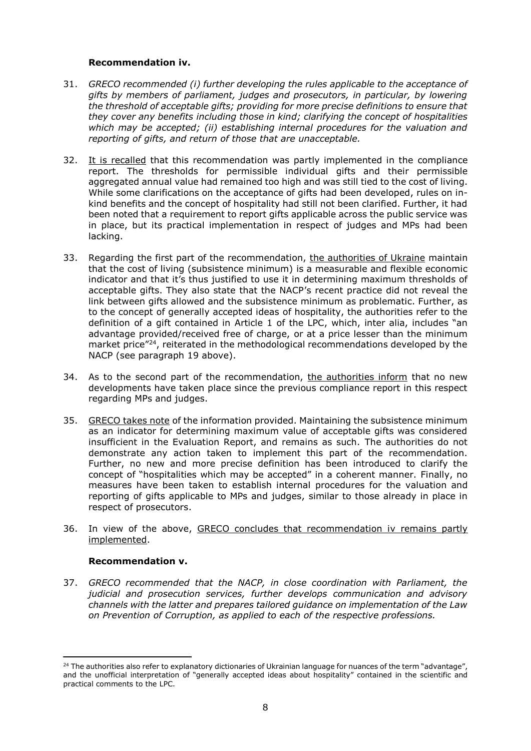#### **Recommendation iv.**

- 31. *GRECO recommended (i) further developing the rules applicable to the acceptance of gifts by members of parliament, judges and prosecutors, in particular, by lowering the threshold of acceptable gifts; providing for more precise definitions to ensure that they cover any benefits including those in kind; clarifying the concept of hospitalities which may be accepted; (ii) establishing internal procedures for the valuation and reporting of gifts, and return of those that are unacceptable.*
- 32. It is recalled that this recommendation was partly implemented in the compliance report. The thresholds for permissible individual gifts and their permissible aggregated annual value had remained too high and was still tied to the cost of living. While some clarifications on the acceptance of gifts had been developed, rules on inkind benefits and the concept of hospitality had still not been clarified. Further, it had been noted that a requirement to report gifts applicable across the public service was in place, but its practical implementation in respect of judges and MPs had been lacking.
- 33. Regarding the first part of the recommendation, the authorities of Ukraine maintain that the cost of living (subsistence minimum) is a measurable and flexible economic indicator and that it's thus justified to use it in determining maximum thresholds of acceptable gifts. They also state that the NACP's recent practice did not reveal the link between gifts allowed and the subsistence minimum as problematic. Further, as to the concept of generally accepted ideas of hospitality, the authorities refer to the definition of a gift contained in Article 1 of the LPC, which, inter alia, includes "an advantage provided/received free of charge, or at a price lesser than the minimum market price"<sup>24</sup>, reiterated in the methodological recommendations developed by the NACP (see paragraph 19 above).
- 34. As to the second part of the recommendation, the authorities inform that no new developments have taken place since the previous compliance report in this respect regarding MPs and judges.
- 35. GRECO takes note of the information provided. Maintaining the subsistence minimum as an indicator for determining maximum value of acceptable gifts was considered insufficient in the Evaluation Report, and remains as such. The authorities do not demonstrate any action taken to implement this part of the recommendation. Further, no new and more precise definition has been introduced to clarify the concept of "hospitalities which may be accepted" in a coherent manner. Finally, no measures have been taken to establish internal procedures for the valuation and reporting of gifts applicable to MPs and judges, similar to those already in place in respect of prosecutors.
- 36. In view of the above, GRECO concludes that recommendation iv remains partly implemented.

# **Recommendation v.**

 $\overline{\phantom{a}}$ 

37. *GRECO recommended that the NACP, in close coordination with Parliament, the judicial and prosecution services, further develops communication and advisory channels with the latter and prepares tailored guidance on implementation of the Law on Prevention of Corruption, as applied to each of the respective professions.*

<sup>&</sup>lt;sup>24</sup> The authorities also refer to explanatory dictionaries of Ukrainian language for nuances of the term "advantage", and the unofficial interpretation of "generally accepted ideas about hospitality" contained in the scientific and practical comments to the LPC.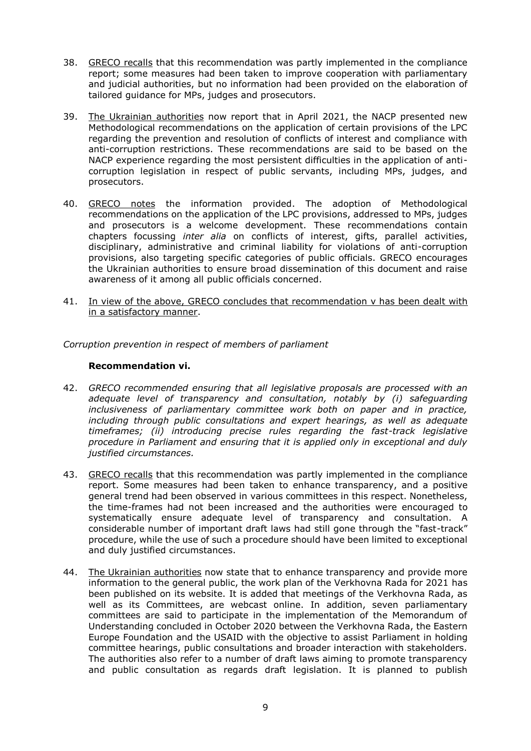- 38. GRECO recalls that this recommendation was partly implemented in the compliance report; some measures had been taken to improve cooperation with parliamentary and judicial authorities, but no information had been provided on the elaboration of tailored guidance for MPs, judges and prosecutors.
- 39. The Ukrainian authorities now report that in April 2021, the NACP presented new Methodological recommendations on the application of certain provisions of the LPC regarding the prevention and resolution of conflicts of interest and compliance with anti-corruption restrictions. These recommendations are said to be based on the NACP experience regarding the most persistent difficulties in the application of anticorruption legislation in respect of public servants, including MPs, judges, and prosecutors.
- 40. GRECO notes the information provided. The adoption of Methodological recommendations on the application of the LPC provisions, addressed to MPs, judges and prosecutors is a welcome development. These recommendations contain chapters focussing *inter alia* on conflicts of interest, gifts, parallel activities, disciplinary, administrative and criminal liability for violations of anti-corruption provisions, also targeting specific categories of public officials. GRECO encourages the Ukrainian authorities to ensure broad dissemination of this document and raise awareness of it among all public officials concerned.
- 41. In view of the above, GRECO concludes that recommendation v has been dealt with in a satisfactory manner.

*Corruption prevention in respect of members of parliament*

#### **Recommendation vi.**

- 42. *GRECO recommended ensuring that all legislative proposals are processed with an adequate level of transparency and consultation, notably by (i) safeguarding inclusiveness of parliamentary committee work both on paper and in practice, including through public consultations and expert hearings, as well as adequate timeframes; (ii) introducing precise rules regarding the fast-track legislative procedure in Parliament and ensuring that it is applied only in exceptional and duly justified circumstances.*
- 43. GRECO recalls that this recommendation was partly implemented in the compliance report. Some measures had been taken to enhance transparency, and a positive general trend had been observed in various committees in this respect. Nonetheless, the time-frames had not been increased and the authorities were encouraged to systematically ensure adequate level of transparency and consultation. A considerable number of important draft laws had still gone through the "fast-track" procedure, while the use of such a procedure should have been limited to exceptional and duly justified circumstances.
- 44. The Ukrainian authorities now state that to enhance transparency and provide more information to the general public, the work plan of the Verkhovna Rada for 2021 has been published on its website. It is added that meetings of the Verkhovna Rada, as well as its Committees, are webcast online. In addition, seven parliamentary committees are said to participate in the implementation of the Memorandum of Understanding concluded in October 2020 between the Verkhovna Rada, the Eastern Europe Foundation and the USAID with the objective to assist Parliament in holding committee hearings, public consultations and broader interaction with stakeholders. The authorities also refer to a number of draft laws aiming to promote transparency and public consultation as regards draft legislation. It is planned to publish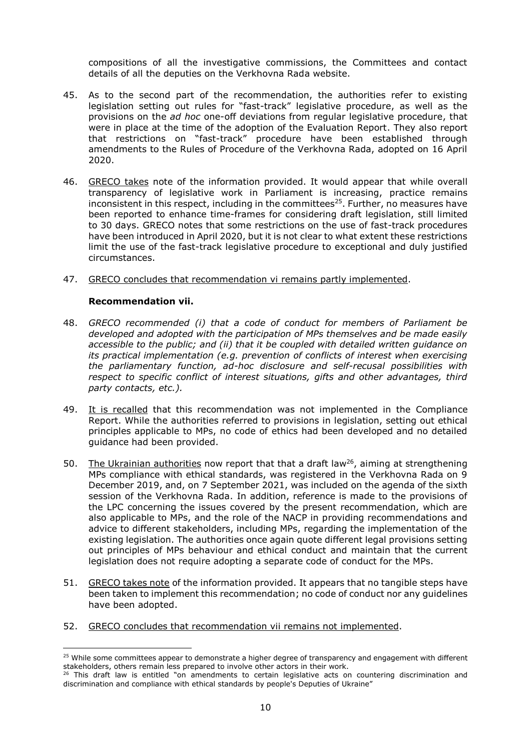compositions of all the investigative commissions, the Committees and contact details of all the deputies on the Verkhovna Rada website.

- 45. As to the second part of the recommendation, the authorities refer to existing legislation setting out rules for "fast-track" legislative procedure, as well as the provisions on the *ad hoc* one-off deviations from regular legislative procedure, that were in place at the time of the adoption of the Evaluation Report. They also report that restrictions on "fast-track" procedure have been established through amendments to the Rules of Procedure of the Verkhovna Rada, adopted on 16 April 2020.
- 46. GRECO takes note of the information provided. It would appear that while overall transparency of legislative work in Parliament is increasing, practice remains inconsistent in this respect, including in the committees<sup>25</sup>. Further, no measures have been reported to enhance time-frames for considering draft legislation, still limited to 30 days. GRECO notes that some restrictions on the use of fast-track procedures have been introduced in April 2020, but it is not clear to what extent these restrictions limit the use of the fast-track legislative procedure to exceptional and duly justified circumstances.
- 47. GRECO concludes that recommendation vi remains partly implemented.

#### **Recommendation vii.**

- 48. *GRECO recommended (i) that a code of conduct for members of Parliament be developed and adopted with the participation of MPs themselves and be made easily accessible to the public; and (ii) that it be coupled with detailed written guidance on its practical implementation (e.g. prevention of conflicts of interest when exercising the parliamentary function, ad-hoc disclosure and self-recusal possibilities with respect to specific conflict of interest situations, gifts and other advantages, third party contacts, etc.).*
- 49. It is recalled that this recommendation was not implemented in the Compliance Report. While the authorities referred to provisions in legislation, setting out ethical principles applicable to MPs, no code of ethics had been developed and no detailed guidance had been provided.
- 50. The Ukrainian authorities now report that that a draft law<sup>26</sup>, aiming at strengthening MPs compliance with ethical standards, was registered in the Verkhovna Rada on 9 December 2019, and, on 7 September 2021, was included on the agenda of the sixth session of the Verkhovna Rada. In addition, reference is made to the provisions of the LPC concerning the issues covered by the present recommendation, which are also applicable to MPs, and the role of the NACP in providing recommendations and advice to different stakeholders, including MPs, regarding the implementation of the existing legislation. The authorities once again quote different legal provisions setting out principles of MPs behaviour and ethical conduct and maintain that the current legislation does not require adopting a separate code of conduct for the MPs.
- 51. GRECO takes note of the information provided. It appears that no tangible steps have been taken to implement this recommendation; no code of conduct nor any guidelines have been adopted.
- 52. GRECO concludes that recommendation vii remains not implemented.

<sup>&</sup>lt;sup>25</sup> While some committees appear to demonstrate a higher degree of transparency and engagement with different stakeholders, others remain less prepared to involve other actors in their work.

<sup>&</sup>lt;sup>26</sup> This draft law is entitled "on amendments to certain legislative acts on countering discrimination and discrimination and compliance with ethical standards by people's Deputies of Ukraine"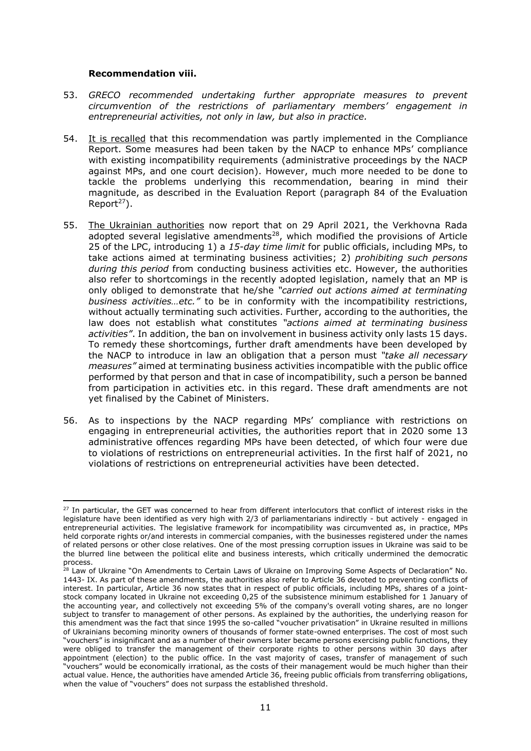#### **Recommendation viii.**

- 53. *GRECO recommended undertaking further appropriate measures to prevent circumvention of the restrictions of parliamentary members' engagement in entrepreneurial activities, not only in law, but also in practice.*
- 54. It is recalled that this recommendation was partly implemented in the Compliance Report. Some measures had been taken by the NACP to enhance MPs' compliance with existing incompatibility requirements (administrative proceedings by the NACP against MPs, and one court decision). However, much more needed to be done to tackle the problems underlying this recommendation, bearing in mind their magnitude, as described in the Evaluation Report (paragraph 84 of the Evaluation Report $27$ ).
- 55. The Ukrainian authorities now report that on 29 April 2021, the Verkhovna Rada adopted several legislative amendments<sup>28</sup>, which modified the provisions of Article 25 of the LPC, introducing 1) a *15-day time limit* for public officials, including MPs, to take actions aimed at terminating business activities; 2) *prohibiting such persons during this period* from conducting business activities etc. However, the authorities also refer to shortcomings in the recently adopted legislation, namely that an MP is only obliged to demonstrate that he/she *"carried out actions aimed at terminating business activities…etc."* to be in conformity with the incompatibility restrictions, without actually terminating such activities. Further, according to the authorities, the law does not establish what constitutes *"actions aimed at terminating business activities"*. In addition, the ban on involvement in business activity only lasts 15 days. To remedy these shortcomings, further draft amendments have been developed by the NACP to introduce in law an obligation that a person must *"take all necessary measures"* aimed at terminating business activities incompatible with the public office performed by that person and that in case of incompatibility, such a person be banned from participation in activities etc. in this regard. These draft amendments are not yet finalised by the Cabinet of Ministers.
- 56. As to inspections by the NACP regarding MPs' compliance with restrictions on engaging in entrepreneurial activities, the authorities report that in 2020 some 13 administrative offences regarding MPs have been detected, of which four were due to violations of restrictions on entrepreneurial activities. In the first half of 2021, no violations of restrictions on entrepreneurial activities have been detected.

 $\overline{a}$ <sup>27</sup> In particular, the GET was concerned to hear from different interlocutors that conflict of interest risks in the legislature have been identified as very high with 2/3 of parliamentarians indirectly - but actively - engaged in entrepreneurial activities. The legislative framework for incompatibility was circumvented as, in practice, MPs held corporate rights or/and interests in commercial companies, with the businesses registered under the names of related persons or other close relatives. One of the most pressing corruption issues in Ukraine was said to be the blurred line between the political elite and business interests, which critically undermined the democratic process.

<sup>&</sup>lt;sup>28</sup> Law of Ukraine "On Amendments to Certain Laws of Ukraine on Improving Some Aspects of Declaration" No. 1443- IX. As part of these amendments, the authorities also refer to Article 36 devoted to preventing conflicts of interest. In particular, Article 36 now states that in respect of public officials, including MPs, shares of a jointstock company located in Ukraine not exceeding 0,25 of the subsistence minimum established for 1 January of the accounting year, and collectively not exceeding 5% of the company's overall voting shares, are no longer subject to transfer to management of other persons. As explained by the authorities, the underlying reason for this amendment was the fact that since 1995 the so-called "voucher privatisation" in Ukraine resulted in millions of Ukrainians becoming minority owners of thousands of former state-owned enterprises. The cost of most such "vouchers" is insignificant and as a number of their owners later became persons exercising public functions, they were obliged to transfer the management of their corporate rights to other persons within 30 days after appointment (election) to the public office. In the vast majority of cases, transfer of management of such "vouchers" would be economically irrational, as the costs of their management would be much higher than their actual value. Hence, the authorities have amended Article 36, freeing public officials from transferring obligations, when the value of "vouchers" does not surpass the established threshold.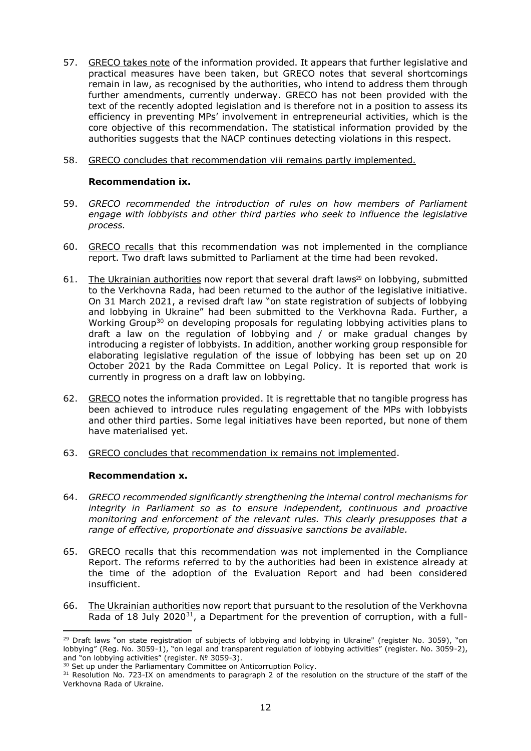- 57. GRECO takes note of the information provided. It appears that further legislative and practical measures have been taken, but GRECO notes that several shortcomings remain in law, as recognised by the authorities, who intend to address them through further amendments, currently underway. GRECO has not been provided with the text of the recently adopted legislation and is therefore not in a position to assess its efficiency in preventing MPs' involvement in entrepreneurial activities, which is the core objective of this recommendation. The statistical information provided by the authorities suggests that the NACP continues detecting violations in this respect.
- 58. GRECO concludes that recommendation viii remains partly implemented.

#### **Recommendation ix.**

- 59. *GRECO recommended the introduction of rules on how members of Parliament engage with lobbyists and other third parties who seek to influence the legislative process.*
- 60. GRECO recalls that this recommendation was not implemented in the compliance report. Two draft laws submitted to Parliament at the time had been revoked.
- 61. The Ukrainian authorities now report that several draft laws<sup>29</sup> on lobbying, submitted to the Verkhovna Rada, had been returned to the author of the legislative initiative. On 31 March 2021, a revised draft law "on state registration of subjects of lobbying and lobbying in Ukraine" had been submitted to the Verkhovna Rada. Further, a Working Group<sup>30</sup> on developing proposals for regulating lobbying activities plans to draft a law on the regulation of lobbying and / or make gradual changes by introducing a register of lobbyists. In addition, another working group responsible for elaborating legislative regulation of the issue of lobbying has been set up on 20 October 2021 by the Rada Committee on Legal Policy. It is reported that work is currently in progress on a draft law on lobbying.
- 62. GRECO notes the information provided. It is regrettable that no tangible progress has been achieved to introduce rules regulating engagement of the MPs with lobbyists and other third parties. Some legal initiatives have been reported, but none of them have materialised yet.
- 63. GRECO concludes that recommendation ix remains not implemented.

#### **Recommendation x.**

- 64. *GRECO recommended significantly strengthening the internal control mechanisms for integrity in Parliament so as to ensure independent, continuous and proactive monitoring and enforcement of the relevant rules. This clearly presupposes that a range of effective, proportionate and dissuasive sanctions be available.*
- 65. GRECO recalls that this recommendation was not implemented in the Compliance Report. The reforms referred to by the authorities had been in existence already at the time of the adoption of the Evaluation Report and had been considered insufficient.
- 66. The Ukrainian authorities now report that pursuant to the resolution of the Verkhovna Rada of 18 July 2020<sup>31</sup>, a Department for the prevention of corruption, with a full-

 $29$  Draft laws "on state registration of subjects of lobbying and lobbying in Ukraine" (register No. 3059), "on lobbying" (Reg. No. 3059-1), "on legal and transparent regulation of lobbying activities" (register. No. 3059-2), and "on lobbying activities" (register. № 3059-3).

<sup>&</sup>lt;sup>30</sup> Set up under the Parliamentary Committee on Anticorruption Policy.

<sup>&</sup>lt;sup>31</sup> Resolution No. 723-IX on amendments to paragraph 2 of the resolution on the structure of the staff of the Verkhovna Rada of Ukraine.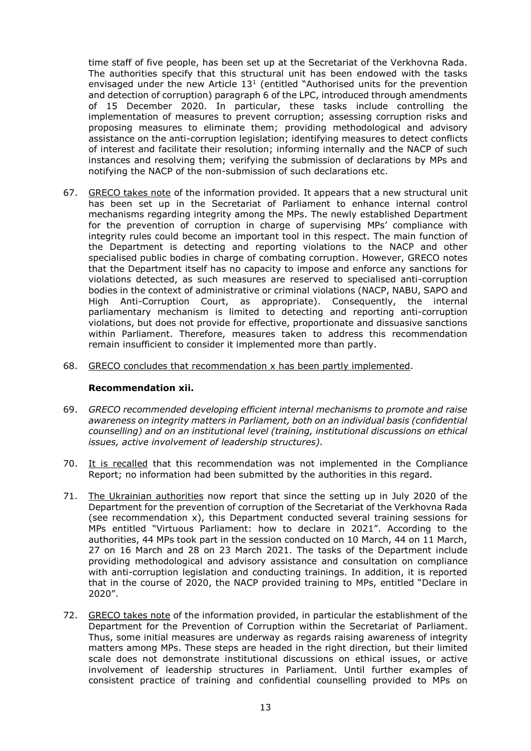time staff of five people, has been set up at the Secretariat of the Verkhovna Rada. The authorities specify that this structural unit has been endowed with the tasks envisaged under the new Article  $13<sup>1</sup>$  (entitled "Authorised units for the prevention and detection of corruption) paragraph 6 of the LPC, introduced through amendments of 15 December 2020. In particular, these tasks include controlling the implementation of measures to prevent corruption; assessing corruption risks and proposing measures to eliminate them; providing methodological and advisory assistance on the anti-corruption legislation; identifying measures to detect conflicts of interest and facilitate their resolution; informing internally and the NACP of such instances and resolving them; verifying the submission of declarations by MPs and notifying the NACP of the non-submission of such declarations etc.

- 67. GRECO takes note of the information provided. It appears that a new structural unit has been set up in the Secretariat of Parliament to enhance internal control mechanisms regarding integrity among the MPs. The newly established Department for the prevention of corruption in charge of supervising MPs' compliance with integrity rules could become an important tool in this respect. The main function of the Department is detecting and reporting violations to the NACP and other specialised public bodies in charge of combating corruption. However, GRECO notes that the Department itself has no capacity to impose and enforce any sanctions for violations detected, as such measures are reserved to specialised anti-corruption bodies in the context of administrative or criminal violations (NACP, NABU, SAPO and High Anti-Corruption Court, as appropriate). Consequently, the internal parliamentary mechanism is limited to detecting and reporting anti-corruption violations, but does not provide for effective, proportionate and dissuasive sanctions within Parliament. Therefore, measures taken to address this recommendation remain insufficient to consider it implemented more than partly.
- 68. GRECO concludes that recommendation x has been partly implemented.

#### **Recommendation xii.**

- 69. *GRECO recommended developing efficient internal mechanisms to promote and raise awareness on integrity matters in Parliament, both on an individual basis (confidential counselling) and on an institutional level (training, institutional discussions on ethical issues, active involvement of leadership structures).*
- 70. It is recalled that this recommendation was not implemented in the Compliance Report; no information had been submitted by the authorities in this regard.
- 71. The Ukrainian authorities now report that since the setting up in July 2020 of the Department for the prevention of corruption of the Secretariat of the Verkhovna Rada (see recommendation x), this Department conducted several training sessions for MPs entitled "Virtuous Parliament: how to declare in 2021". According to the authorities, 44 MPs took part in the session conducted on 10 March, 44 on 11 March, 27 on 16 March and 28 on 23 March 2021. The tasks of the Department include providing methodological and advisory assistance and consultation on compliance with anti-corruption legislation and conducting trainings. In addition, it is reported that in the course of 2020, the NACP provided training to MPs, entitled "Declare in 2020".
- 72. GRECO takes note of the information provided, in particular the establishment of the Department for the Prevention of Corruption within the Secretariat of Parliament. Thus, some initial measures are underway as regards raising awareness of integrity matters among MPs. These steps are headed in the right direction, but their limited scale does not demonstrate institutional discussions on ethical issues, or active involvement of leadership structures in Parliament. Until further examples of consistent practice of training and confidential counselling provided to MPs on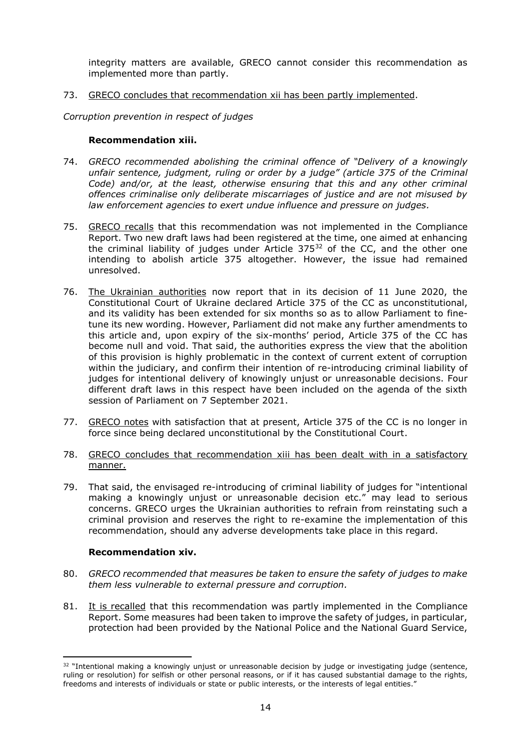integrity matters are available, GRECO cannot consider this recommendation as implemented more than partly.

73. GRECO concludes that recommendation xii has been partly implemented.

*Corruption prevention in respect of judges*

#### **Recommendation xiii.**

- 74. *GRECO recommended abolishing the criminal offence of "Delivery of a knowingly unfair sentence, judgment, ruling or order by a judge" (article 375 of the Criminal Code) and/or, at the least, otherwise ensuring that this and any other criminal offences criminalise only deliberate miscarriages of justice and are not misused by law enforcement agencies to exert undue influence and pressure on judges.*
- 75. GRECO recalls that this recommendation was not implemented in the Compliance Report. Two new draft laws had been registered at the time, one aimed at enhancing the criminal liability of judges under Article 375<sup>32</sup> of the CC, and the other one intending to abolish article 375 altogether. However, the issue had remained unresolved.
- 76. The Ukrainian authorities now report that in its decision of 11 June 2020, the Constitutional Court of Ukraine declared Article 375 of the CC as unconstitutional, and its validity has been extended for six months so as to allow Parliament to finetune its new wording. However, Parliament did not make any further amendments to this article and, upon expiry of the six-months' period, Article 375 of the CC has become null and void. That said, the authorities express the view that the abolition of this provision is highly problematic in the context of current extent of corruption within the judiciary, and confirm their intention of re-introducing criminal liability of judges for intentional delivery of knowingly unjust or unreasonable decisions. Four different draft laws in this respect have been included on the agenda of the sixth session of Parliament on 7 September 2021.
- 77. GRECO notes with satisfaction that at present, Article 375 of the CC is no longer in force since being declared unconstitutional by the Constitutional Court.
- 78. GRECO concludes that recommendation xiii has been dealt with in a satisfactory manner.
- 79. That said, the envisaged re-introducing of criminal liability of judges for "intentional making a knowingly unjust or unreasonable decision etc." may lead to serious concerns. GRECO urges the Ukrainian authorities to refrain from reinstating such a criminal provision and reserves the right to re-examine the implementation of this recommendation, should any adverse developments take place in this regard.

#### **Recommendation xiv.**

- 80. *GRECO recommended that measures be taken to ensure the safety of judges to make them less vulnerable to external pressure and corruption.*
- 81. It is recalled that this recommendation was partly implemented in the Compliance Report. Some measures had been taken to improve the safety of judges, in particular, protection had been provided by the National Police and the National Guard Service,

 $32$  "Intentional making a knowingly unjust or unreasonable decision by judge or investigating judge (sentence, ruling or resolution) for selfish or other personal reasons, or if it has caused substantial damage to the rights, freedoms and interests of individuals or state or public interests, or the interests of legal entities.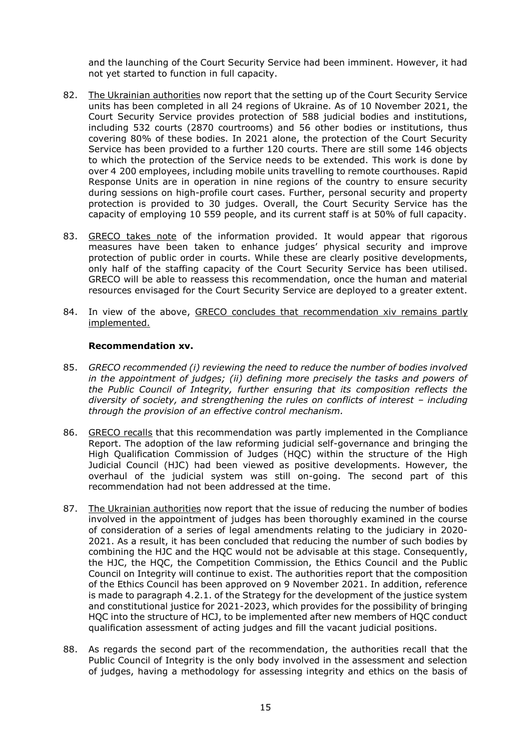and the launching of the Court Security Service had been imminent. However, it had not yet started to function in full capacity.

- 82. The Ukrainian authorities now report that the setting up of the Court Security Service units has been completed in all 24 regions of Ukraine. As of 10 November 2021, the Court Security Service provides protection of 588 judicial bodies and institutions, including 532 courts (2870 courtrooms) and 56 other bodies or institutions, thus covering 80% of these bodies. In 2021 alone, the protection of the Court Security Service has been provided to a further 120 courts. There are still some 146 objects to which the protection of the Service needs to be extended. This work is done by over 4 200 employees, including mobile units travelling to remote courthouses. Rapid Response Units are in operation in nine regions of the country to ensure security during sessions on high-profile court cases. Further, personal security and property protection is provided to 30 judges. Overall, the Court Security Service has the capacity of employing 10 559 people, and its current staff is at 50% of full capacity.
- 83. GRECO takes note of the information provided. It would appear that rigorous measures have been taken to enhance judges' physical security and improve protection of public order in courts. While these are clearly positive developments, only half of the staffing capacity of the Court Security Service has been utilised. GRECO will be able to reassess this recommendation, once the human and material resources envisaged for the Court Security Service are deployed to a greater extent.
- 84. In view of the above, GRECO concludes that recommendation xiv remains partly implemented.

#### **Recommendation xv.**

- 85. *GRECO recommended (i) reviewing the need to reduce the number of bodies involved in the appointment of judges; (ii) defining more precisely the tasks and powers of the Public Council of Integrity, further ensuring that its composition reflects the diversity of society, and strengthening the rules on conflicts of interest – including through the provision of an effective control mechanism.*
- 86. GRECO recalls that this recommendation was partly implemented in the Compliance Report. The adoption of the law reforming judicial self-governance and bringing the High Qualification Commission of Judges (HQC) within the structure of the High Judicial Council (HJC) had been viewed as positive developments. However, the overhaul of the judicial system was still on-going. The second part of this recommendation had not been addressed at the time.
- 87. The Ukrainian authorities now report that the issue of reducing the number of bodies involved in the appointment of judges has been thoroughly examined in the course of consideration of a series of legal amendments relating to the judiciary in 2020- 2021. As a result, it has been concluded that reducing the number of such bodies by combining the HJC and the HQC would not be advisable at this stage. Consequently, the HJC, the HQC, the Competition Commission, the Ethics Council and the Public Council on Integrity will continue to exist. The authorities report that the composition of the Ethics Council has been approved on 9 November 2021. In addition, reference is made to paragraph 4.2.1. of the Strategy for the development of the justice system and constitutional justice for 2021-2023, which provides for the possibility of bringing HQC into the structure of HCJ, to be implemented after new members of HQC conduct qualification assessment of acting judges and fill the vacant judicial positions.
- 88. As regards the second part of the recommendation, the authorities recall that the Public Council of Integrity is the only body involved in the assessment and selection of judges, having a methodology for assessing integrity and ethics on the basis of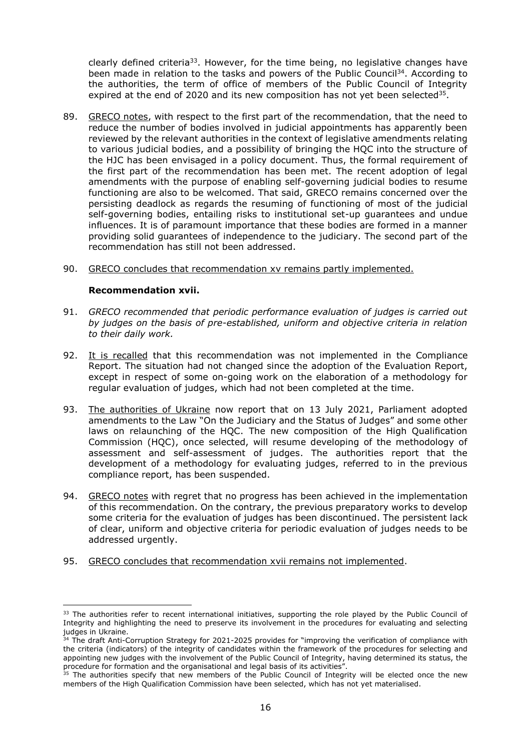clearly defined criteria<sup>33</sup>. However, for the time being, no legislative changes have been made in relation to the tasks and powers of the Public Council<sup>34</sup>. According to the authorities, the term of office of members of the Public Council of Integrity expired at the end of 2020 and its new composition has not yet been selected<sup>35</sup>.

- 89. GRECO notes, with respect to the first part of the recommendation, that the need to reduce the number of bodies involved in judicial appointments has apparently been reviewed by the relevant authorities in the context of legislative amendments relating to various judicial bodies, and a possibility of bringing the HQC into the structure of the HJC has been envisaged in a policy document. Thus, the formal requirement of the first part of the recommendation has been met. The recent adoption of legal amendments with the purpose of enabling self-governing judicial bodies to resume functioning are also to be welcomed. That said, GRECO remains concerned over the persisting deadlock as regards the resuming of functioning of most of the judicial self-governing bodies, entailing risks to institutional set-up guarantees and undue influences. It is of paramount importance that these bodies are formed in a manner providing solid guarantees of independence to the judiciary. The second part of the recommendation has still not been addressed.
- 90. GRECO concludes that recommendation xv remains partly implemented.

#### **Recommendation xvii.**

 $\overline{a}$ 

- 91. *GRECO recommended that periodic performance evaluation of judges is carried out by judges on the basis of pre-established, uniform and objective criteria in relation to their daily work.*
- 92. It is recalled that this recommendation was not implemented in the Compliance Report. The situation had not changed since the adoption of the Evaluation Report, except in respect of some on-going work on the elaboration of a methodology for regular evaluation of judges, which had not been completed at the time.
- 93. The authorities of Ukraine now report that on 13 July 2021, Parliament adopted amendments to the Law "On the Judiciary and the Status of Judges" and some other laws on relaunching of the HQC. The new composition of the High Qualification Commission (HQC), once selected, will resume developing of the methodology of assessment and self-assessment of judges. The authorities report that the development of a methodology for evaluating judges, referred to in the previous compliance report, has been suspended.
- 94. GRECO notes with regret that no progress has been achieved in the implementation of this recommendation. On the contrary, the previous preparatory works to develop some criteria for the evaluation of judges has been discontinued. The persistent lack of clear, uniform and objective criteria for periodic evaluation of judges needs to be addressed urgently.
- 95. GRECO concludes that recommendation xvii remains not implemented.

 $33$  The authorities refer to recent international initiatives, supporting the role played by the Public Council of Integrity and highlighting the need to preserve its involvement in the procedures for evaluating and selecting judges in Ukraine.

<sup>&</sup>lt;sup>34</sup> The draft Anti-Corruption Strategy for 2021-2025 provides for "improving the verification of compliance with the criteria (indicators) of the integrity of candidates within the framework of the procedures for selecting and appointing new judges with the involvement of the Public Council of Integrity, having determined its status, the procedure for formation and the organisational and legal basis of its activities".

<sup>&</sup>lt;sup>35</sup> The authorities specify that new members of the Public Council of Integrity will be elected once the new members of the High Qualification Commission have been selected, which has not yet materialised.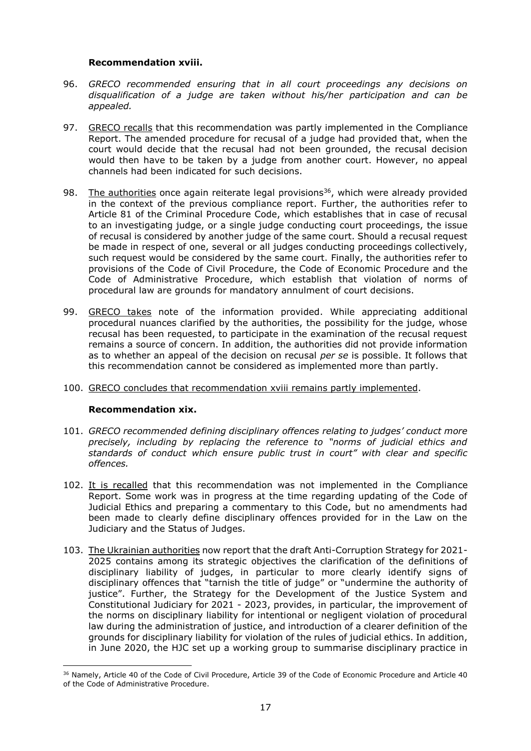#### **Recommendation xviii.**

- 96. *GRECO recommended ensuring that in all court proceedings any decisions on disqualification of a judge are taken without his/her participation and can be appealed.*
- 97. GRECO recalls that this recommendation was partly implemented in the Compliance Report. The amended procedure for recusal of a judge had provided that, when the court would decide that the recusal had not been grounded, the recusal decision would then have to be taken by a judge from another court. However, no appeal channels had been indicated for such decisions.
- 98. The authorities once again reiterate legal provisions<sup>36</sup>, which were already provided in the context of the previous compliance report. Further, the authorities refer to Article 81 of the Criminal Procedure Code, which establishes that in case of recusal to an investigating judge, or a single judge conducting court proceedings, the issue of recusal is considered by another judge of the same court. Should a recusal request be made in respect of one, several or all judges conducting proceedings collectively, such request would be considered by the same court. Finally, the authorities refer to provisions of the Code of Civil Procedure, the Code of Economic Procedure and the Code of Administrative Procedure, which establish that violation of norms of procedural law are grounds for mandatory annulment of court decisions.
- 99. GRECO takes note of the information provided. While appreciating additional procedural nuances clarified by the authorities, the possibility for the judge, whose recusal has been requested, to participate in the examination of the recusal request remains a source of concern. In addition, the authorities did not provide information as to whether an appeal of the decision on recusal *per se* is possible. It follows that this recommendation cannot be considered as implemented more than partly.
- 100. GRECO concludes that recommendation xviii remains partly implemented.

# **Recommendation xix.**

- 101. *GRECO recommended defining disciplinary offences relating to judges' conduct more precisely, including by replacing the reference to "norms of judicial ethics and standards of conduct which ensure public trust in court" with clear and specific offences.*
- 102. It is recalled that this recommendation was not implemented in the Compliance Report. Some work was in progress at the time regarding updating of the Code of Judicial Ethics and preparing a commentary to this Code, but no amendments had been made to clearly define disciplinary offences provided for in the Law on the Judiciary and the Status of Judges.
- 103. The Ukrainian authorities now report that the draft Anti-Corruption Strategy for 2021- 2025 contains among its strategic objectives the clarification of the definitions of disciplinary liability of judges, in particular to more clearly identify signs of disciplinary offences that "tarnish the title of judge" or "undermine the authority of justice". Further, the Strategy for the Development of the Justice System and Constitutional Judiciary for 2021 - 2023, provides, in particular, the improvement of the norms on disciplinary liability for intentional or negligent violation of procedural law during the administration of justice, and introduction of a clearer definition of the grounds for disciplinary liability for violation of the rules of judicial ethics. In addition, in June 2020, the HJC set up a working group to summarise disciplinary practice in

<sup>&</sup>lt;sup>36</sup> Namely, Article 40 of the Code of Civil Procedure, Article 39 of the Code of Economic Procedure and Article 40 of the Code of Administrative Procedure.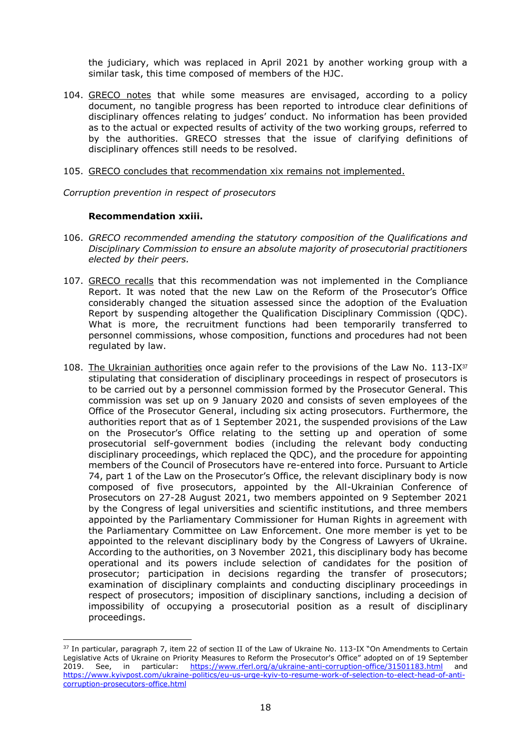the judiciary, which was replaced in April 2021 by another working group with a similar task, this time composed of members of the HJC.

- 104. GRECO notes that while some measures are envisaged, according to a policy document, no tangible progress has been reported to introduce clear definitions of disciplinary offences relating to judges' conduct. No information has been provided as to the actual or expected results of activity of the two working groups, referred to by the authorities. GRECO stresses that the issue of clarifying definitions of disciplinary offences still needs to be resolved.
- 105. GRECO concludes that recommendation xix remains not implemented.

*Corruption prevention in respect of prosecutors*

#### **Recommendation xxiii.**

- 106. *GRECO recommended amending the statutory composition of the Qualifications and Disciplinary Commission to ensure an absolute majority of prosecutorial practitioners elected by their peers.*
- 107. GRECO recalls that this recommendation was not implemented in the Compliance Report. It was noted that the new Law on the Reform of the Prosecutor's Office considerably changed the situation assessed since the adoption of the Evaluation Report by suspending altogether the Qualification Disciplinary Commission (QDC). What is more, the recruitment functions had been temporarily transferred to personnel commissions, whose composition, functions and procedures had not been regulated by law.
- 108. The Ukrainian authorities once again refer to the provisions of the Law No.  $113$ -IX $37$ stipulating that consideration of disciplinary proceedings in respect of prosecutors is to be carried out by a personnel commission formed by the Prosecutor General. This commission was set up on 9 January 2020 and consists of seven employees of the Office of the Prosecutor General, including six acting prosecutors. Furthermore, the authorities report that as of 1 September 2021, the suspended provisions of the Law on the Prosecutor's Office relating to the setting up and operation of some prosecutorial self-government bodies (including the relevant body conducting disciplinary proceedings, which replaced the QDC), and the procedure for appointing members of the Council of Prosecutors have re-entered into force. Pursuant to Article 74, part 1 of the Law on the Prosecutor's Office, the relevant disciplinary body is now composed of five prosecutors, appointed by the All-Ukrainian Conference of Prosecutors on 27-28 August 2021, two members appointed on 9 September 2021 by the Congress of legal universities and scientific institutions, and three members appointed by the Parliamentary Commissioner for Human Rights in agreement with the Parliamentary Committee on Law Enforcement. One more member is yet to be appointed to the relevant disciplinary body by the Congress of Lawyers of Ukraine. According to the authorities, on 3 November 2021, this disciplinary body has become operational and its powers include selection of candidates for the position of prosecutor; participation in decisions regarding the transfer of prosecutors; examination of disciplinary complaints and conducting disciplinary proceedings in respect of prosecutors; imposition of disciplinary sanctions, including a decision of impossibility of occupying a prosecutorial position as a result of disciplinary proceedings.

<sup>&</sup>lt;sup>37</sup> In particular, paragraph 7, item 22 of section II of the Law of Ukraine No. 113-IX "On Amendments to Certain Legislative Acts of Ukraine on Priority Measures to Reform the Prosecutor's Office" adopted on of 19 September 2019. See, in particular: <https://www.rferl.org/a/ukraine-anti-corruption-office/31501183.html> and [https://www.kyivpost.com/ukraine-politics/eu-us-urge-kyiv-to-resume-work-of-selection-to-elect-head-of-anti](https://www.kyivpost.com/ukraine-politics/eu-us-urge-kyiv-to-resume-work-of-selection-to-elect-head-of-anti-corruption-prosecutors-office.html)[corruption-prosecutors-office.html](https://www.kyivpost.com/ukraine-politics/eu-us-urge-kyiv-to-resume-work-of-selection-to-elect-head-of-anti-corruption-prosecutors-office.html)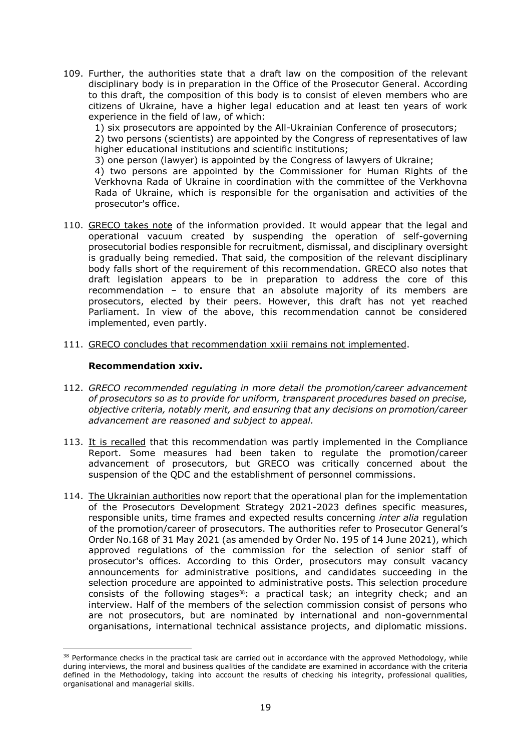109. Further, the authorities state that a draft law on the composition of the relevant disciplinary body is in preparation in the Office of the Prosecutor General. According to this draft, the composition of this body is to consist of eleven members who are citizens of Ukraine, have a higher legal education and at least ten years of work experience in the field of law, of which:

1) six prosecutors are appointed by the All-Ukrainian Conference of prosecutors;

2) two persons (scientists) are appointed by the Congress of representatives of law higher educational institutions and scientific institutions;

3) one person (lawyer) is appointed by the Congress of lawyers of Ukraine;

4) two persons are appointed by the Commissioner for Human Rights of the Verkhovna Rada of Ukraine in coordination with the committee of the Verkhovna Rada of Ukraine, which is responsible for the organisation and activities of the prosecutor's office.

- 110. GRECO takes note of the information provided. It would appear that the legal and operational vacuum created by suspending the operation of self-governing prosecutorial bodies responsible for recruitment, dismissal, and disciplinary oversight is gradually being remedied. That said, the composition of the relevant disciplinary body falls short of the requirement of this recommendation. GRECO also notes that draft legislation appears to be in preparation to address the core of this recommendation – to ensure that an absolute majority of its members are prosecutors, elected by their peers. However, this draft has not yet reached Parliament. In view of the above, this recommendation cannot be considered implemented, even partly.
- 111. GRECO concludes that recommendation xxiii remains not implemented.

#### **Recommendation xxiv.**

- 112. *GRECO recommended regulating in more detail the promotion/career advancement of prosecutors so as to provide for uniform, transparent procedures based on precise, objective criteria, notably merit, and ensuring that any decisions on promotion/career advancement are reasoned and subject to appeal.*
- 113. It is recalled that this recommendation was partly implemented in the Compliance Report. Some measures had been taken to regulate the promotion/career advancement of prosecutors, but GRECO was critically concerned about the suspension of the QDC and the establishment of personnel commissions.
- 114. The Ukrainian authorities now report that the operational plan for the implementation of the Prosecutors Development Strategy 2021-2023 defines specific measures, responsible units, time frames and expected results concerning *inter alia* regulation of the promotion/career of prosecutors. The authorities refer to Prosecutor General's Order No.168 of 31 May 2021 (as amended by Order No. 195 of 14 June 2021), which approved regulations of the commission for the selection of senior staff of prosecutor's offices. According to this Order, prosecutors may consult vacancy announcements for administrative positions, and candidates succeeding in the selection procedure are appointed to administrative posts. This selection procedure consists of the following stages<sup>38</sup>: a practical task; an integrity check; and an interview. Half of the members of the selection commission consist of persons who are not prosecutors, but are nominated by international and non-governmental organisations, international technical assistance projects, and diplomatic missions.

<sup>&</sup>lt;sup>38</sup> Performance checks in the practical task are carried out in accordance with the approved Methodology, while during interviews, the moral and business qualities of the candidate are examined in accordance with the criteria defined in the Methodology, taking into account the results of checking his integrity, professional qualities, organisational and managerial skills.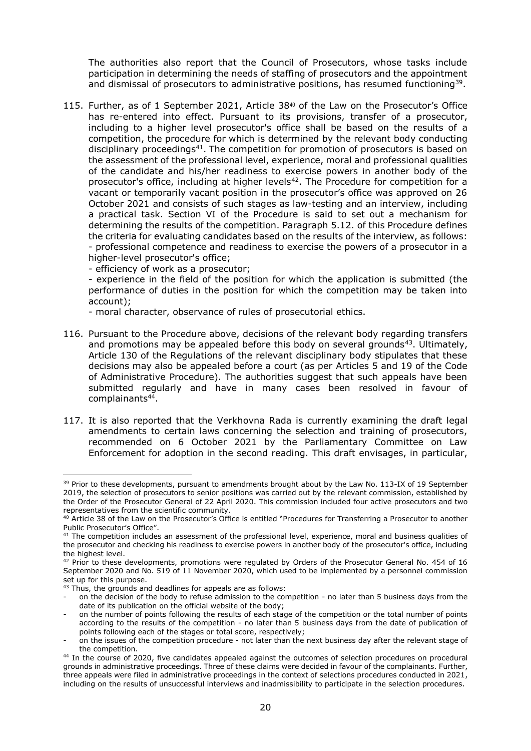The authorities also report that the Council of Prosecutors, whose tasks include participation in determining the needs of staffing of prosecutors and the appointment and dismissal of prosecutors to administrative positions, has resumed functioning<sup>39</sup>.

115. Further, as of 1 September 2021, Article  $38^{40}$  of the Law on the Prosecutor's Office has re-entered into effect. Pursuant to its provisions, transfer of a prosecutor, including to a higher level prosecutor's office shall be based on the results of a competition, the procedure for which is determined by the relevant body conducting disciplinary proceedings<sup>41</sup>. The competition for promotion of prosecutors is based on the assessment of the professional level, experience, moral and professional qualities of the candidate and his/her readiness to exercise powers in another body of the prosecutor's office, including at higher levels<sup>42</sup>. The Procedure for competition for a vacant or temporarily vacant position in the prosecutor's office was approved on 26 October 2021 and consists of such stages as law-testing and an interview, including a practical task. Section VI of the Procedure is said to set out a mechanism for determining the results of the competition. Paragraph 5.12. of this Procedure defines the criteria for evaluating candidates based on the results of the interview, as follows: - professional competence and readiness to exercise the powers of a prosecutor in a higher-level prosecutor's office;

- efficiency of work as a prosecutor;

- experience in the field of the position for which the application is submitted (the performance of duties in the position for which the competition may be taken into account);

- moral character, observance of rules of prosecutorial ethics.

- 116. Pursuant to the Procedure above, decisions of the relevant body regarding transfers and promotions may be appealed before this body on several grounds<sup>43</sup>. Ultimately, Article 130 of the Regulations of the relevant disciplinary body stipulates that these decisions may also be appealed before a court (as per Articles 5 and 19 of the Code of Administrative Procedure). The authorities suggest that such appeals have been submitted regularly and have in many cases been resolved in favour of complainants<sup>44</sup>.
- 117. It is also reported that the Verkhovna Rada is currently examining the draft legal amendments to certain laws concerning the selection and training of prosecutors, recommended on 6 October 2021 by the Parliamentary Committee on Law Enforcement for adoption in the second reading. This draft envisages, in particular,

 $\overline{a}$ <sup>39</sup> Prior to these developments, pursuant to amendments brought about by the Law No. 113-IX of 19 September 2019, the selection of prosecutors to senior positions was carried out by the relevant commission, established by the Order of the Prosecutor General of 22 April 2020. This commission included four active prosecutors and two representatives from the scientific community.

<sup>&</sup>lt;sup>40</sup> Article 38 of the Law on the Prosecutor's Office is entitled "Procedures for Transferring a Prosecutor to another Public Prosecutor's Office".

 $41$  The competition includes an assessment of the professional level, experience, moral and business qualities of the prosecutor and checking his readiness to exercise powers in another body of the prosecutor's office, including the highest level.

<sup>42</sup> Prior to these developments, promotions were regulated by Orders of the Prosecutor General No. 454 of 16 September 2020 and No. 519 of 11 November 2020, which used to be implemented by a personnel commission set up for this purpose.

<sup>&</sup>lt;sup>43</sup> Thus, the grounds and deadlines for appeals are as follows:

on the decision of the body to refuse admission to the competition - no later than 5 business days from the date of its publication on the official website of the body;

on the number of points following the results of each stage of the competition or the total number of points according to the results of the competition - no later than 5 business days from the date of publication of points following each of the stages or total score, respectively;

on the issues of the competition procedure - not later than the next business day after the relevant stage of the competition.

<sup>&</sup>lt;sup>44</sup> In the course of 2020, five candidates appealed against the outcomes of selection procedures on procedural grounds in administrative proceedings. Three of these claims were decided in favour of the complainants. Further, three appeals were filed in administrative proceedings in the context of selections procedures conducted in 2021, including on the results of unsuccessful interviews and inadmissibility to participate in the selection procedures.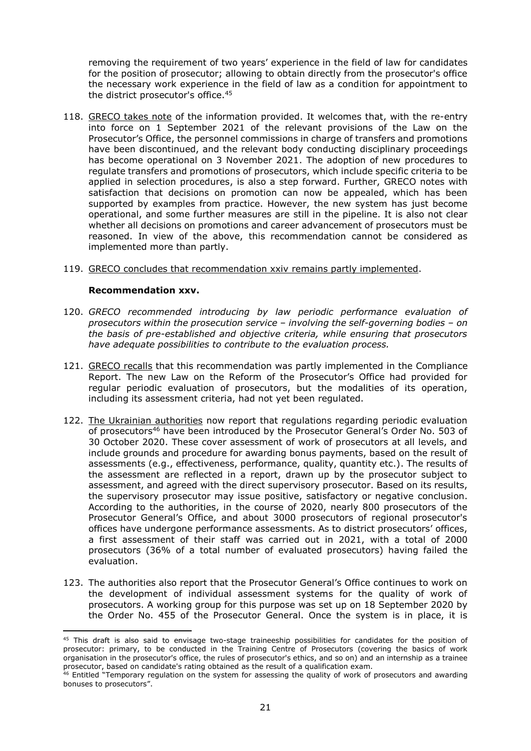removing the requirement of two years' experience in the field of law for candidates for the position of prosecutor; allowing to obtain directly from the prosecutor's office the necessary work experience in the field of law as a condition for appointment to the district prosecutor's office.<sup>45</sup>

- 118. GRECO takes note of the information provided. It welcomes that, with the re-entry into force on 1 September 2021 of the relevant provisions of the Law on the Prosecutor's Office, the personnel commissions in charge of transfers and promotions have been discontinued, and the relevant body conducting disciplinary proceedings has become operational on 3 November 2021. The adoption of new procedures to regulate transfers and promotions of prosecutors, which include specific criteria to be applied in selection procedures, is also a step forward. Further, GRECO notes with satisfaction that decisions on promotion can now be appealed, which has been supported by examples from practice. However, the new system has just become operational, and some further measures are still in the pipeline. It is also not clear whether all decisions on promotions and career advancement of prosecutors must be reasoned. In view of the above, this recommendation cannot be considered as implemented more than partly.
- 119. GRECO concludes that recommendation xxiv remains partly implemented.

#### **Recommendation xxv.**

- 120. *GRECO recommended introducing by law periodic performance evaluation of prosecutors within the prosecution service – involving the self-governing bodies – on the basis of pre-established and objective criteria, while ensuring that prosecutors have adequate possibilities to contribute to the evaluation process.*
- 121. GRECO recalls that this recommendation was partly implemented in the Compliance Report. The new Law on the Reform of the Prosecutor's Office had provided for regular periodic evaluation of prosecutors, but the modalities of its operation, including its assessment criteria, had not yet been regulated.
- 122. The Ukrainian authorities now report that regulations regarding periodic evaluation of prosecutors<sup>46</sup> have been introduced by the Prosecutor General's Order No. 503 of 30 October 2020. These cover assessment of work of prosecutors at all levels, and include grounds and procedure for awarding bonus payments, based on the result of assessments (e.g., effectiveness, performance, quality, quantity etc.). The results of the assessment are reflected in a report, drawn up by the prosecutor subject to assessment, and agreed with the direct supervisory prosecutor. Based on its results, the supervisory prosecutor may issue positive, satisfactory or negative conclusion. According to the authorities, in the course of 2020, nearly 800 prosecutors of the Prosecutor General's Office, and about 3000 prosecutors of regional prosecutor's offices have undergone performance assessments. As to district prosecutors' offices, a first assessment of their staff was carried out in 2021, with a total of 2000 prosecutors (36% of a total number of evaluated prosecutors) having failed the evaluation.
- 123. The authorities also report that the Prosecutor General's Office continues to work on the development of individual assessment systems for the quality of work of prosecutors. A working group for this purpose was set up on 18 September 2020 by the Order No. 455 of the Prosecutor General. Once the system is in place, it is

<sup>&</sup>lt;sup>45</sup> This draft is also said to envisage two-stage traineeship possibilities for candidates for the position of prosecutor: primary, to be conducted in the Training Centre of Prosecutors (covering the basics of work organisation in the prosecutor's office, the rules of prosecutor's ethics, and so on) and an internship as a trainee prosecutor, based on candidate's rating obtained as the result of a qualification exam.

<sup>&</sup>lt;sup>46</sup> Entitled "Temporary regulation on the system for assessing the quality of work of prosecutors and awarding bonuses to prosecutors".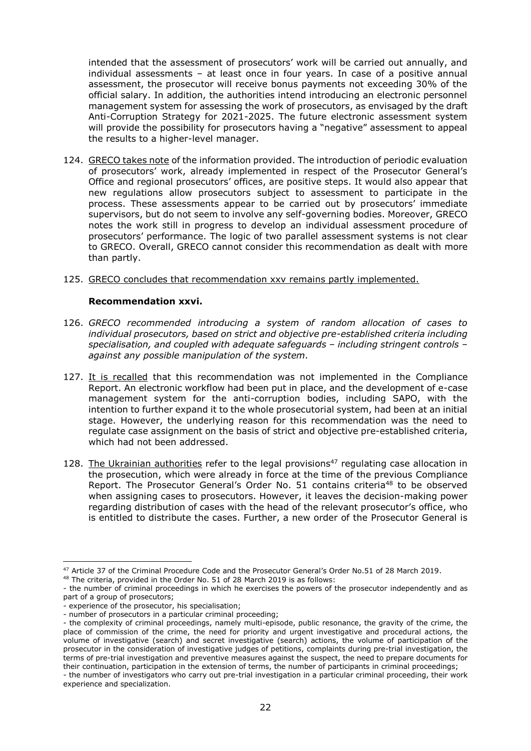intended that the assessment of prosecutors' work will be carried out annually, and individual assessments – at least once in four years. In case of a positive annual assessment, the prosecutor will receive bonus payments not exceeding 30% of the official salary. In addition, the authorities intend introducing an electronic personnel management system for assessing the work of prosecutors, as envisaged by the draft Anti-Corruption Strategy for 2021-2025. The future electronic assessment system will provide the possibility for prosecutors having a "negative" assessment to appeal the results to a higher-level manager.

124. GRECO takes note of the information provided. The introduction of periodic evaluation of prosecutors' work, already implemented in respect of the Prosecutor General's Office and regional prosecutors' offices, are positive steps. It would also appear that new regulations allow prosecutors subject to assessment to participate in the process. These assessments appear to be carried out by prosecutors' immediate supervisors, but do not seem to involve any self-governing bodies. Moreover, GRECO notes the work still in progress to develop an individual assessment procedure of prosecutors' performance. The logic of two parallel assessment systems is not clear to GRECO. Overall, GRECO cannot consider this recommendation as dealt with more than partly.

#### 125. GRECO concludes that recommendation xxv remains partly implemented.

#### **Recommendation xxvi.**

- 126. *GRECO recommended introducing a system of random allocation of cases to individual prosecutors, based on strict and objective pre-established criteria including specialisation, and coupled with adequate safeguards – including stringent controls – against any possible manipulation of the system.*
- 127. It is recalled that this recommendation was not implemented in the Compliance Report. An electronic workflow had been put in place, and the development of e-case management system for the anti-corruption bodies, including SAPO, with the intention to further expand it to the whole prosecutorial system, had been at an initial stage. However, the underlying reason for this recommendation was the need to regulate case assignment on the basis of strict and objective pre-established criteria, which had not been addressed.
- 128. The Ukrainian authorities refer to the legal provisions<sup>47</sup> regulating case allocation in the prosecution, which were already in force at the time of the previous Compliance Report. The Prosecutor General's Order No. 51 contains criteria<sup>48</sup> to be observed when assigning cases to prosecutors. However, it leaves the decision-making power regarding distribution of cases with the head of the relevant prosecutor's office, who is entitled to distribute the cases. Further, a new order of the Prosecutor General is

 $\overline{a}$ <sup>47</sup> Article 37 of the Criminal Procedure Code and the Prosecutor General's Order No.51 of 28 March 2019.

<sup>48</sup> The criteria, provided in the Order No. 51 of 28 March 2019 is as follows:

<sup>-</sup> the number of criminal proceedings in which he exercises the powers of the prosecutor independently and as part of a group of prosecutors;

<sup>-</sup> experience of the prosecutor, his specialisation;

<sup>-</sup> number of prosecutors in a particular criminal proceeding;

<sup>-</sup> the complexity of criminal proceedings, namely multi-episode, public resonance, the gravity of the crime, the place of commission of the crime, the need for priority and urgent investigative and procedural actions, the volume of investigative (search) and secret investigative (search) actions, the volume of participation of the prosecutor in the consideration of investigative judges of petitions, complaints during pre-trial investigation, the terms of pre-trial investigation and preventive measures against the suspect, the need to prepare documents for their continuation, participation in the extension of terms, the number of participants in criminal proceedings;

<sup>-</sup> the number of investigators who carry out pre-trial investigation in a particular criminal proceeding, their work experience and specialization.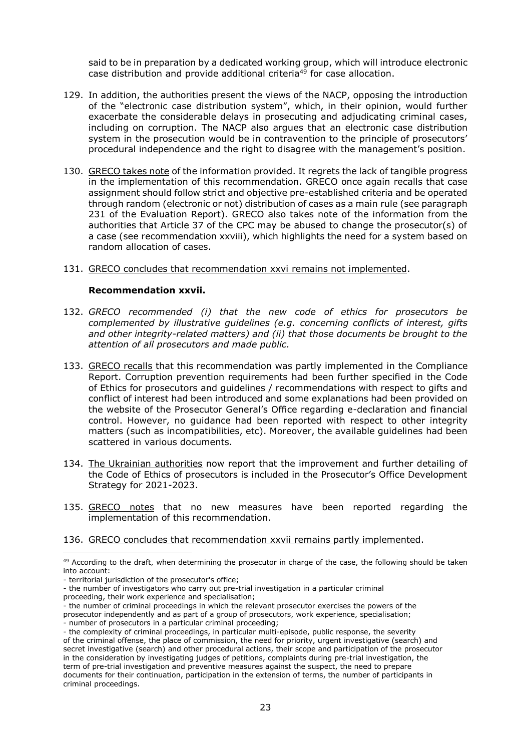said to be in preparation by a dedicated working group, which will introduce electronic case distribution and provide additional criteria<sup>49</sup> for case allocation.

- 129. In addition, the authorities present the views of the NACP, opposing the introduction of the "electronic case distribution system", which, in their opinion, would further exacerbate the considerable delays in prosecuting and adjudicating criminal cases, including on corruption. The NACP also argues that an electronic case distribution system in the prosecution would be in contravention to the principle of prosecutors' procedural independence and the right to disagree with the management's position.
- 130. GRECO takes note of the information provided. It regrets the lack of tangible progress in the implementation of this recommendation. GRECO once again recalls that case assignment should follow strict and objective pre-established criteria and be operated through random (electronic or not) distribution of cases as a main rule (see paragraph 231 of the Evaluation Report). GRECO also takes note of the information from the authorities that Article 37 of the CPC may be abused to change the prosecutor(s) of a case (see recommendation xxviii), which highlights the need for a system based on random allocation of cases.
- 131. GRECO concludes that recommendation xxvi remains not implemented.

#### **Recommendation xxvii.**

- 132. *GRECO recommended (i) that the new code of ethics for prosecutors be complemented by illustrative guidelines (e.g. concerning conflicts of interest, gifts and other integrity-related matters) and (ii) that those documents be brought to the attention of all prosecutors and made public.*
- 133. GRECO recalls that this recommendation was partly implemented in the Compliance Report. Corruption prevention requirements had been further specified in the Code of Ethics for prosecutors and guidelines / recommendations with respect to gifts and conflict of interest had been introduced and some explanations had been provided on the website of the Prosecutor General's Office regarding e-declaration and financial control. However, no guidance had been reported with respect to other integrity matters (such as incompatibilities, etc). Moreover, the available guidelines had been scattered in various documents.
- 134. The Ukrainian authorities now report that the improvement and further detailing of the Code of Ethics of prosecutors is included in the Prosecutor's Office Development Strategy for 2021-2023.
- 135. GRECO notes that no new measures have been reported regarding the implementation of this recommendation.

136. GRECO concludes that recommendation xxvii remains partly implemented.

 $\overline{a}$ 

- the number of criminal proceedings in which the relevant prosecutor exercises the powers of the prosecutor independently and as part of a group of prosecutors, work experience, specialisation;
- number of prosecutors in a particular criminal proceeding;

<sup>&</sup>lt;sup>49</sup> According to the draft, when determining the prosecutor in charge of the case, the following should be taken into account:

<sup>-</sup> territorial jurisdiction of the prosecutor's office;

<sup>-</sup> the number of investigators who carry out pre-trial investigation in a particular criminal

proceeding, their work experience and specialisation;

<sup>-</sup> the complexity of criminal proceedings, in particular multi-episode, public response, the severity of the criminal offense, the place of commission, the need for priority, urgent investigative (search) and secret investigative (search) and other procedural actions, their scope and participation of the prosecutor in the consideration by investigating judges of petitions, complaints during pre-trial investigation, the term of pre-trial investigation and preventive measures against the suspect, the need to prepare documents for their continuation, participation in the extension of terms, the number of participants in criminal proceedings.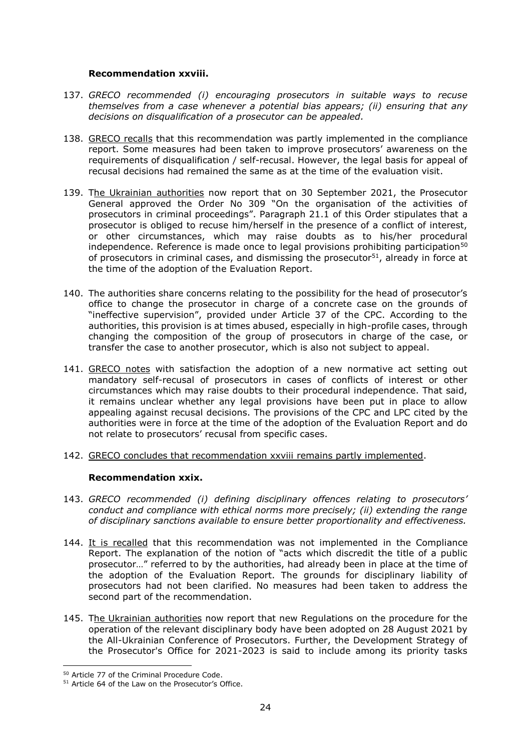#### **Recommendation xxviii.**

- 137. *GRECO recommended (i) encouraging prosecutors in suitable ways to recuse themselves from a case whenever a potential bias appears; (ii) ensuring that any decisions on disqualification of a prosecutor can be appealed.*
- 138. GRECO recalls that this recommendation was partly implemented in the compliance report. Some measures had been taken to improve prosecutors' awareness on the requirements of disqualification / self-recusal. However, the legal basis for appeal of recusal decisions had remained the same as at the time of the evaluation visit.
- 139. The Ukrainian authorities now report that on 30 September 2021, the Prosecutor General approved the Order No 309 "On the organisation of the activities of prosecutors in criminal proceedings". Paragraph 21.1 of this Order stipulates that a prosecutor is obliged to recuse him/herself in the presence of a conflict of interest, or other circumstances, which may raise doubts as to his/her procedural independence. Reference is made once to legal provisions prohibiting participation<sup>50</sup> of prosecutors in criminal cases, and dismissing the prosecutor<sup>51</sup>, already in force at the time of the adoption of the Evaluation Report.
- 140. The authorities share concerns relating to the possibility for the head of prosecutor's office to change the prosecutor in charge of a concrete case on the grounds of "ineffective supervision", provided under Article 37 of the CPC. According to the authorities, this provision is at times abused, especially in high-profile cases, through changing the composition of the group of prosecutors in charge of the case, or transfer the case to another prosecutor, which is also not subject to appeal.
- 141. GRECO notes with satisfaction the adoption of a new normative act setting out mandatory self-recusal of prosecutors in cases of conflicts of interest or other circumstances which may raise doubts to their procedural independence. That said, it remains unclear whether any legal provisions have been put in place to allow appealing against recusal decisions. The provisions of the CPC and LPC cited by the authorities were in force at the time of the adoption of the Evaluation Report and do not relate to prosecutors' recusal from specific cases.
- 142. GRECO concludes that recommendation xxviii remains partly implemented.

# **Recommendation xxix.**

- 143. *GRECO recommended (i) defining disciplinary offences relating to prosecutors' conduct and compliance with ethical norms more precisely; (ii) extending the range of disciplinary sanctions available to ensure better proportionality and effectiveness.*
- 144. It is recalled that this recommendation was not implemented in the Compliance Report. The explanation of the notion of "acts which discredit the title of a public prosecutor…" referred to by the authorities, had already been in place at the time of the adoption of the Evaluation Report. The grounds for disciplinary liability of prosecutors had not been clarified. No measures had been taken to address the second part of the recommendation.
- 145. The Ukrainian authorities now report that new Regulations on the procedure for the operation of the relevant disciplinary body have been adopted on 28 August 2021 by the All-Ukrainian Conference of Prosecutors. Further, the Development Strategy of the Prosecutor's Office for 2021-2023 is said to include among its priority tasks

 $\overline{\phantom{a}}$ <sup>50</sup> Article 77 of the Criminal Procedure Code.

<sup>51</sup> Article 64 of the Law on the Prosecutor's Office.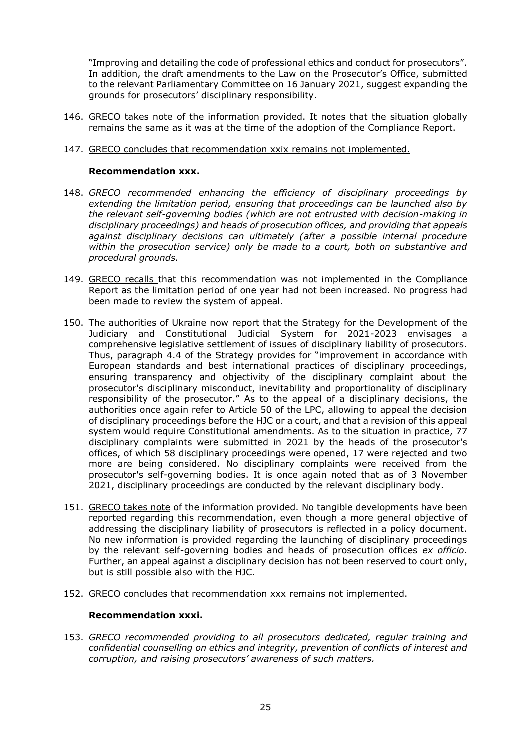"Improving and detailing the code of professional ethics and conduct for prosecutors". In addition, the draft amendments to the Law on the Prosecutor's Office, submitted to the relevant Parliamentary Committee on 16 January 2021, suggest expanding the grounds for prosecutors' disciplinary responsibility.

- 146. GRECO takes note of the information provided. It notes that the situation globally remains the same as it was at the time of the adoption of the Compliance Report.
- 147. GRECO concludes that recommendation xxix remains not implemented.

#### **Recommendation xxx.**

- 148. *GRECO recommended enhancing the efficiency of disciplinary proceedings by extending the limitation period, ensuring that proceedings can be launched also by the relevant self-governing bodies (which are not entrusted with decision-making in disciplinary proceedings) and heads of prosecution offices, and providing that appeals against disciplinary decisions can ultimately (after a possible internal procedure within the prosecution service) only be made to a court, both on substantive and procedural grounds.*
- 149. GRECO recalls that this recommendation was not implemented in the Compliance Report as the limitation period of one year had not been increased. No progress had been made to review the system of appeal.
- 150. The authorities of Ukraine now report that the Strategy for the Development of the Judiciary and Constitutional Judicial System for 2021-2023 envisages a comprehensive legislative settlement of issues of disciplinary liability of prosecutors. Thus, paragraph 4.4 of the Strategy provides for "improvement in accordance with European standards and best international practices of disciplinary proceedings, ensuring transparency and objectivity of the disciplinary complaint about the prosecutor's disciplinary misconduct, inevitability and proportionality of disciplinary responsibility of the prosecutor." As to the appeal of a disciplinary decisions, the authorities once again refer to Article 50 of the LPC, allowing to appeal the decision of disciplinary proceedings before the HJC or a court, and that a revision of this appeal system would require Constitutional amendments. As to the situation in practice, 77 disciplinary complaints were submitted in 2021 by the heads of the prosecutor's offices, of which 58 disciplinary proceedings were opened, 17 were rejected and two more are being considered. No disciplinary complaints were received from the prosecutor's self-governing bodies. It is once again noted that as of 3 November 2021, disciplinary proceedings are conducted by the relevant disciplinary body.
- 151. GRECO takes note of the information provided. No tangible developments have been reported regarding this recommendation, even though a more general objective of addressing the disciplinary liability of prosecutors is reflected in a policy document. No new information is provided regarding the launching of disciplinary proceedings by the relevant self-governing bodies and heads of prosecution offices *ex officio*. Further, an appeal against a disciplinary decision has not been reserved to court only, but is still possible also with the HJC.
- 152. GRECO concludes that recommendation xxx remains not implemented.

#### **Recommendation xxxi.**

153. *GRECO recommended providing to all prosecutors dedicated, regular training and confidential counselling on ethics and integrity, prevention of conflicts of interest and corruption, and raising prosecutors' awareness of such matters.*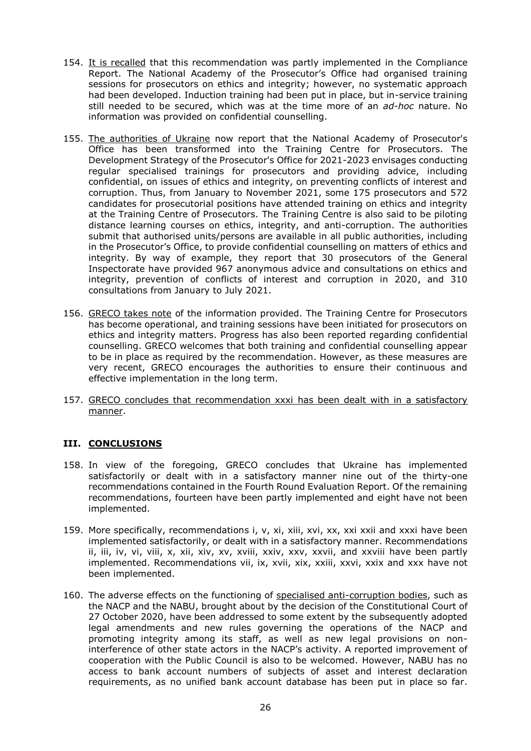- 154. It is recalled that this recommendation was partly implemented in the Compliance Report. The National Academy of the Prosecutor's Office had organised training sessions for prosecutors on ethics and integrity; however, no systematic approach had been developed. Induction training had been put in place, but in-service training still needed to be secured, which was at the time more of an *ad-hoc* nature. No information was provided on confidential counselling.
- 155. The authorities of Ukraine now report that the National Academy of Prosecutor's Office has been transformed into the Training Centre for Prosecutors. The Development Strategy of the Prosecutor's Office for 2021-2023 envisages conducting regular specialised trainings for prosecutors and providing advice, including confidential, on issues of ethics and integrity, on preventing conflicts of interest and corruption. Thus, from January to November 2021, some 175 prosecutors and 572 candidates for prosecutorial positions have attended training on ethics and integrity at the Training Centre of Prosecutors. The Training Centre is also said to be piloting distance learning courses on ethics, integrity, and anti-corruption. The authorities submit that authorised units/persons are available in all public authorities, including in the Prosecutor's Office, to provide confidential counselling on matters of ethics and integrity. By way of example, they report that 30 prosecutors of the General Inspectorate have provided 967 anonymous advice and consultations on ethics and integrity, prevention of conflicts of interest and corruption in 2020, and 310 consultations from January to July 2021.
- 156. GRECO takes note of the information provided. The Training Centre for Prosecutors has become operational, and training sessions have been initiated for prosecutors on ethics and integrity matters. Progress has also been reported regarding confidential counselling. GRECO welcomes that both training and confidential counselling appear to be in place as required by the recommendation. However, as these measures are very recent, GRECO encourages the authorities to ensure their continuous and effective implementation in the long term.
- 157. GRECO concludes that recommendation xxxi has been dealt with in a satisfactory manner.

# **III. CONCLUSIONS**

- 158. In view of the foregoing, GRECO concludes that Ukraine has implemented satisfactorily or dealt with in a satisfactory manner nine out of the thirty-one recommendations contained in the Fourth Round Evaluation Report. Of the remaining recommendations, fourteen have been partly implemented and eight have not been implemented.
- 159. More specifically, recommendations i, v, xi, xiii, xvi, xx, xxi xxii and xxxi have been implemented satisfactorily, or dealt with in a satisfactory manner. Recommendations ii, iii, iv, vi, viii, x, xii, xiv, xv, xviii, xxiv, xxv, xxvii, and xxviii have been partly implemented. Recommendations vii, ix, xvii, xix, xxiii, xxvi, xxix and xxx have not been implemented.
- 160. The adverse effects on the functioning of specialised anti-corruption bodies, such as the NACP and the NABU, brought about by the decision of the Constitutional Court of 27 October 2020, have been addressed to some extent by the subsequently adopted legal amendments and new rules governing the operations of the NACP and promoting integrity among its staff, as well as new legal provisions on noninterference of other state actors in the NACP's activity. A reported improvement of cooperation with the Public Council is also to be welcomed. However, NABU has no access to bank account numbers of subjects of asset and interest declaration requirements, as no unified bank account database has been put in place so far.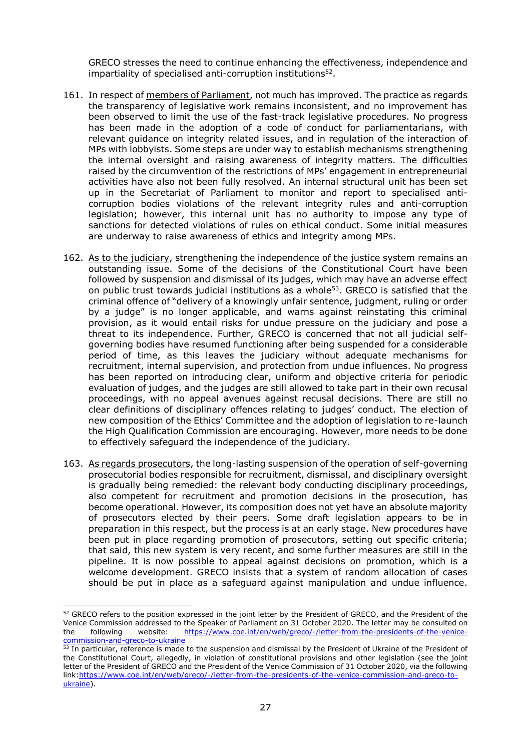GRECO stresses the need to continue enhancing the effectiveness, independence and impartiality of specialised anti-corruption institutions<sup>52</sup>.

- 161. In respect of members of Parliament, not much has improved. The practice as regards the transparency of legislative work remains inconsistent, and no improvement has been observed to limit the use of the fast-track legislative procedures. No progress has been made in the adoption of a code of conduct for parliamentarians, with relevant guidance on integrity related issues, and in regulation of the interaction of MPs with lobbyists. Some steps are under way to establish mechanisms strengthening the internal oversight and raising awareness of integrity matters. The difficulties raised by the circumvention of the restrictions of MPs' engagement in entrepreneurial activities have also not been fully resolved. An internal structural unit has been set up in the Secretariat of Parliament to monitor and report to specialised anticorruption bodies violations of the relevant integrity rules and anti-corruption legislation; however, this internal unit has no authority to impose any type of sanctions for detected violations of rules on ethical conduct. Some initial measures are underway to raise awareness of ethics and integrity among MPs.
- 162. As to the judiciary, strengthening the independence of the justice system remains an outstanding issue. Some of the decisions of the Constitutional Court have been followed by suspension and dismissal of its judges, which may have an adverse effect on public trust towards judicial institutions as a whole<sup>53</sup>. GRECO is satisfied that the criminal offence of "delivery of a knowingly unfair sentence, judgment, ruling or order by a judge" is no longer applicable, and warns against reinstating this criminal provision, as it would entail risks for undue pressure on the judiciary and pose a threat to its independence. Further, GRECO is concerned that not all judicial selfgoverning bodies have resumed functioning after being suspended for a considerable period of time, as this leaves the judiciary without adequate mechanisms for recruitment, internal supervision, and protection from undue influences. No progress has been reported on introducing clear, uniform and objective criteria for periodic evaluation of judges, and the judges are still allowed to take part in their own recusal proceedings, with no appeal avenues against recusal decisions. There are still no clear definitions of disciplinary offences relating to judges' conduct. The election of new composition of the Ethics' Committee and the adoption of legislation to re-launch the High Qualification Commission are encouraging. However, more needs to be done to effectively safeguard the independence of the judiciary.
- 163. As regards prosecutors, the long-lasting suspension of the operation of self-governing prosecutorial bodies responsible for recruitment, dismissal, and disciplinary oversight is gradually being remedied: the relevant body conducting disciplinary proceedings, also competent for recruitment and promotion decisions in the prosecution, has become operational. However, its composition does not yet have an absolute majority of prosecutors elected by their peers. Some draft legislation appears to be in preparation in this respect, but the process is at an early stage. New procedures have been put in place regarding promotion of prosecutors, setting out specific criteria; that said, this new system is very recent, and some further measures are still in the pipeline. It is now possible to appeal against decisions on promotion, which is a welcome development. GRECO insists that a system of random allocation of cases should be put in place as a safeguard against manipulation and undue influence.

 $\overline{a}$ 

<sup>52</sup> GRECO refers to the position expressed in the joint letter by the President of GRECO, and the President of the Venice Commission addressed to the Speaker of Parliament on 31 October 2020. The letter may be consulted on the following website: [https://www.coe.int/en/web/greco/-/letter-from-the-presidents-of-the-venice](https://www.coe.int/en/web/greco/-/letter-from-the-presidents-of-the-venice-commission-and-greco-to-ukraine)[commission-and-greco-to-ukraine](https://www.coe.int/en/web/greco/-/letter-from-the-presidents-of-the-venice-commission-and-greco-to-ukraine)

<sup>53</sup> In particular, reference is made to the suspension and dismissal by the President of Ukraine of the President of the Constitutional Court, allegedly, in violation of constitutional provisions and other legislation (see the joint letter of the President of GRECO and the President of the Venice Commission of 31 October 2020, via the following link[:https://www.coe.int/en/web/greco/-/letter-from-the-presidents-of-the-venice-commission-and-greco-to](https://www.coe.int/en/web/greco/-/letter-from-the-presidents-of-the-venice-commission-and-greco-to-ukraine)[ukraine\)](https://www.coe.int/en/web/greco/-/letter-from-the-presidents-of-the-venice-commission-and-greco-to-ukraine).